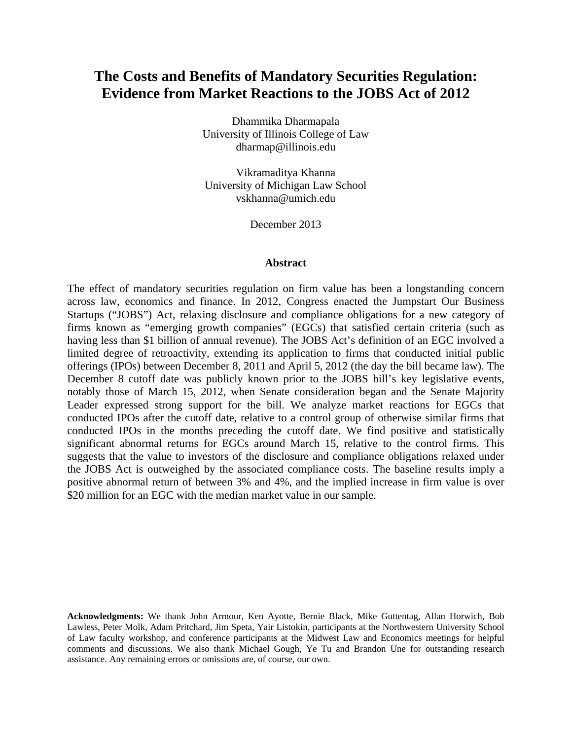# **The Costs and Benefits of Mandatory Securities Regulation: Evidence from Market Reactions to the JOBS Act of 2012**

Dhammika Dharmapala University of Illinois College of Law dharmap@illinois.edu

Vikramaditya Khanna University of Michigan Law School vskhanna@umich.edu

December 2013

#### **Abstract**

The effect of mandatory securities regulation on firm value has been a longstanding concern across law, economics and finance. In 2012, Congress enacted the Jumpstart Our Business Startups ("JOBS") Act, relaxing disclosure and compliance obligations for a new category of firms known as "emerging growth companies" (EGCs) that satisfied certain criteria (such as having less than \$1 billion of annual revenue). The JOBS Act's definition of an EGC involved a limited degree of retroactivity, extending its application to firms that conducted initial public offerings (IPOs) between December 8, 2011 and April 5, 2012 (the day the bill became law). The December 8 cutoff date was publicly known prior to the JOBS bill's key legislative events, notably those of March 15, 2012, when Senate consideration began and the Senate Majority Leader expressed strong support for the bill. We analyze market reactions for EGCs that conducted IPOs after the cutoff date, relative to a control group of otherwise similar firms that conducted IPOs in the months preceding the cutoff date. We find positive and statistically significant abnormal returns for EGCs around March 15, relative to the control firms. This suggests that the value to investors of the disclosure and compliance obligations relaxed under the JOBS Act is outweighed by the associated compliance costs. The baseline results imply a positive abnormal return of between 3% and 4%, and the implied increase in firm value is over \$20 million for an EGC with the median market value in our sample.

**Acknowledgments:** We thank John Armour, Ken Ayotte, Bernie Black, Mike Guttentag, Allan Horwich, Bob Lawless, Peter Molk, Adam Pritchard, Jim Speta, Yair Listokin, participants at the Northwestern University School of Law faculty workshop, and conference participants at the Midwest Law and Economics meetings for helpful comments and discussions. We also thank Michael Gough, Ye Tu and Brandon Une for outstanding research assistance. Any remaining errors or omissions are, of course, our own.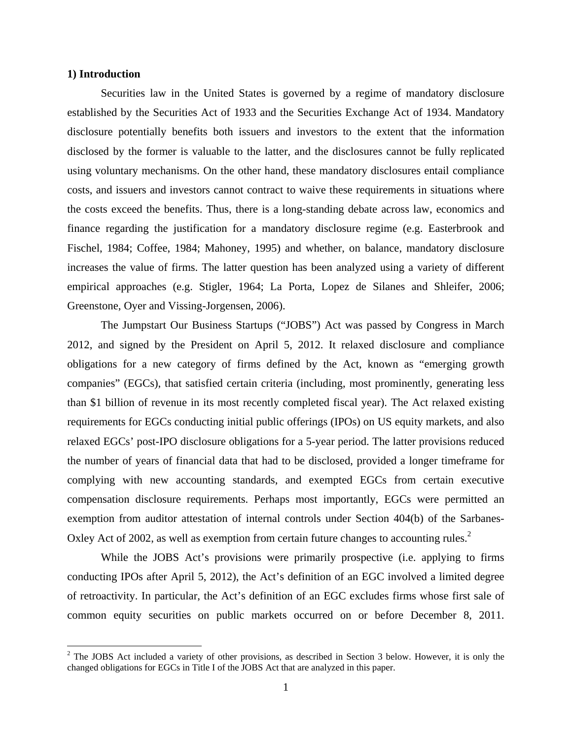### **1) Introduction**

1

Securities law in the United States is governed by a regime of mandatory disclosure established by the Securities Act of 1933 and the Securities Exchange Act of 1934. Mandatory disclosure potentially benefits both issuers and investors to the extent that the information disclosed by the former is valuable to the latter, and the disclosures cannot be fully replicated using voluntary mechanisms. On the other hand, these mandatory disclosures entail compliance costs, and issuers and investors cannot contract to waive these requirements in situations where the costs exceed the benefits. Thus, there is a long-standing debate across law, economics and finance regarding the justification for a mandatory disclosure regime (e.g. Easterbrook and Fischel, 1984; Coffee, 1984; Mahoney, 1995) and whether, on balance, mandatory disclosure increases the value of firms. The latter question has been analyzed using a variety of different empirical approaches (e.g. Stigler, 1964; La Porta, Lopez de Silanes and Shleifer, 2006; Greenstone, Oyer and Vissing-Jorgensen, 2006).

 The Jumpstart Our Business Startups ("JOBS") Act was passed by Congress in March 2012, and signed by the President on April 5, 2012. It relaxed disclosure and compliance obligations for a new category of firms defined by the Act, known as "emerging growth companies" (EGCs), that satisfied certain criteria (including, most prominently, generating less than \$1 billion of revenue in its most recently completed fiscal year). The Act relaxed existing requirements for EGCs conducting initial public offerings (IPOs) on US equity markets, and also relaxed EGCs' post-IPO disclosure obligations for a 5-year period. The latter provisions reduced the number of years of financial data that had to be disclosed, provided a longer timeframe for complying with new accounting standards, and exempted EGCs from certain executive compensation disclosure requirements. Perhaps most importantly, EGCs were permitted an exemption from auditor attestation of internal controls under Section 404(b) of the Sarbanes-Oxley Act of 2002, as well as exemption from certain future changes to accounting rules.<sup>2</sup>

While the JOBS Act's provisions were primarily prospective (i.e. applying to firms conducting IPOs after April 5, 2012), the Act's definition of an EGC involved a limited degree of retroactivity. In particular, the Act's definition of an EGC excludes firms whose first sale of common equity securities on public markets occurred on or before December 8, 2011.

 $2^2$  The JOBS Act included a variety of other provisions, as described in Section 3 below. However, it is only the changed obligations for EGCs in Title I of the JOBS Act that are analyzed in this paper.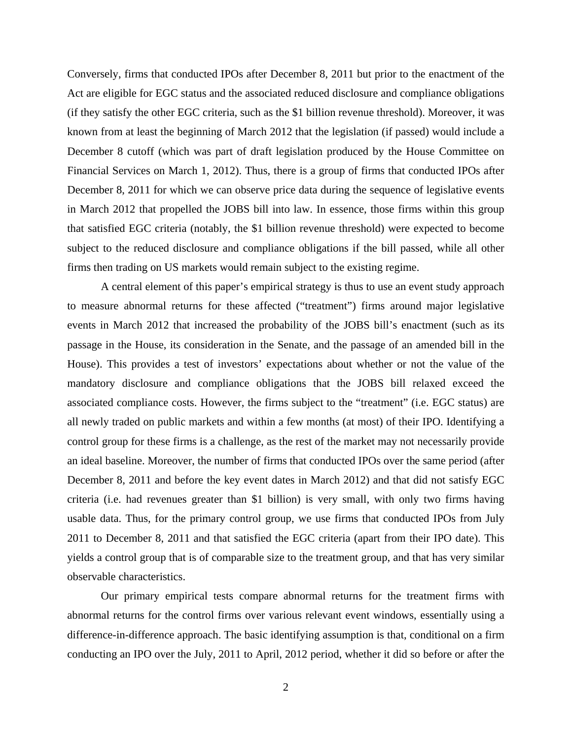Conversely, firms that conducted IPOs after December 8, 2011 but prior to the enactment of the Act are eligible for EGC status and the associated reduced disclosure and compliance obligations (if they satisfy the other EGC criteria, such as the \$1 billion revenue threshold). Moreover, it was known from at least the beginning of March 2012 that the legislation (if passed) would include a December 8 cutoff (which was part of draft legislation produced by the House Committee on Financial Services on March 1, 2012). Thus, there is a group of firms that conducted IPOs after December 8, 2011 for which we can observe price data during the sequence of legislative events in March 2012 that propelled the JOBS bill into law. In essence, those firms within this group that satisfied EGC criteria (notably, the \$1 billion revenue threshold) were expected to become subject to the reduced disclosure and compliance obligations if the bill passed, while all other firms then trading on US markets would remain subject to the existing regime.

A central element of this paper's empirical strategy is thus to use an event study approach to measure abnormal returns for these affected ("treatment") firms around major legislative events in March 2012 that increased the probability of the JOBS bill's enactment (such as its passage in the House, its consideration in the Senate, and the passage of an amended bill in the House). This provides a test of investors' expectations about whether or not the value of the mandatory disclosure and compliance obligations that the JOBS bill relaxed exceed the associated compliance costs. However, the firms subject to the "treatment" (i.e. EGC status) are all newly traded on public markets and within a few months (at most) of their IPO. Identifying a control group for these firms is a challenge, as the rest of the market may not necessarily provide an ideal baseline. Moreover, the number of firms that conducted IPOs over the same period (after December 8, 2011 and before the key event dates in March 2012) and that did not satisfy EGC criteria (i.e. had revenues greater than \$1 billion) is very small, with only two firms having usable data. Thus, for the primary control group, we use firms that conducted IPOs from July 2011 to December 8, 2011 and that satisfied the EGC criteria (apart from their IPO date). This yields a control group that is of comparable size to the treatment group, and that has very similar observable characteristics.

Our primary empirical tests compare abnormal returns for the treatment firms with abnormal returns for the control firms over various relevant event windows, essentially using a difference-in-difference approach. The basic identifying assumption is that, conditional on a firm conducting an IPO over the July, 2011 to April, 2012 period, whether it did so before or after the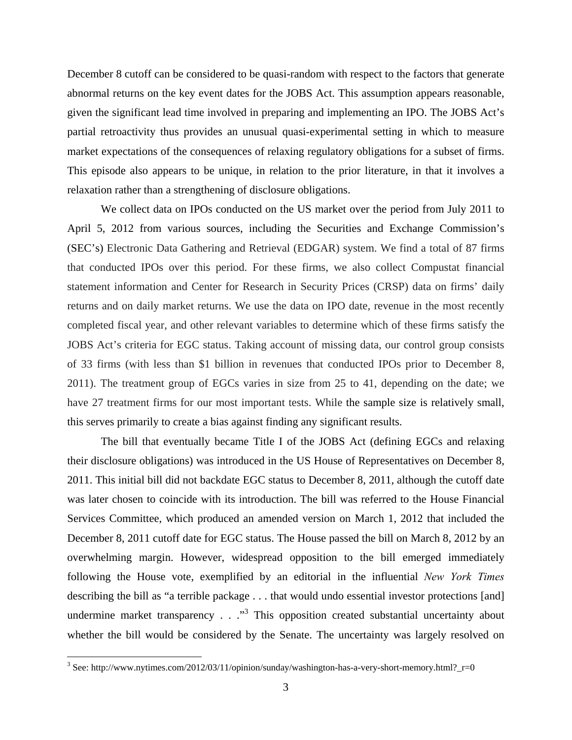December 8 cutoff can be considered to be quasi-random with respect to the factors that generate abnormal returns on the key event dates for the JOBS Act. This assumption appears reasonable, given the significant lead time involved in preparing and implementing an IPO. The JOBS Act's partial retroactivity thus provides an unusual quasi-experimental setting in which to measure market expectations of the consequences of relaxing regulatory obligations for a subset of firms. This episode also appears to be unique, in relation to the prior literature, in that it involves a relaxation rather than a strengthening of disclosure obligations.

We collect data on IPOs conducted on the US market over the period from July 2011 to April 5, 2012 from various sources, including the Securities and Exchange Commission's (SEC's) Electronic Data Gathering and Retrieval (EDGAR) system. We find a total of 87 firms that conducted IPOs over this period. For these firms, we also collect Compustat financial statement information and Center for Research in Security Prices (CRSP) data on firms' daily returns and on daily market returns. We use the data on IPO date, revenue in the most recently completed fiscal year, and other relevant variables to determine which of these firms satisfy the JOBS Act's criteria for EGC status. Taking account of missing data, our control group consists of 33 firms (with less than \$1 billion in revenues that conducted IPOs prior to December 8, 2011). The treatment group of EGCs varies in size from 25 to 41, depending on the date; we have 27 treatment firms for our most important tests. While the sample size is relatively small, this serves primarily to create a bias against finding any significant results.

 The bill that eventually became Title I of the JOBS Act (defining EGCs and relaxing their disclosure obligations) was introduced in the US House of Representatives on December 8, 2011. This initial bill did not backdate EGC status to December 8, 2011, although the cutoff date was later chosen to coincide with its introduction. The bill was referred to the House Financial Services Committee, which produced an amended version on March 1, 2012 that included the December 8, 2011 cutoff date for EGC status. The House passed the bill on March 8, 2012 by an overwhelming margin. However, widespread opposition to the bill emerged immediately following the House vote, exemplified by an editorial in the influential *New York Times* describing the bill as "a terrible package . . . that would undo essential investor protections [and] undermine market transparency  $\ldots$   $\cdot$ <sup>3</sup>. This opposition created substantial uncertainty about whether the bill would be considered by the Senate. The uncertainty was largely resolved on

<sup>&</sup>lt;sup>3</sup> See: http://www.nytimes.com/2012/03/11/opinion/sunday/washington-has-a-very-short-memory.html?\_r=0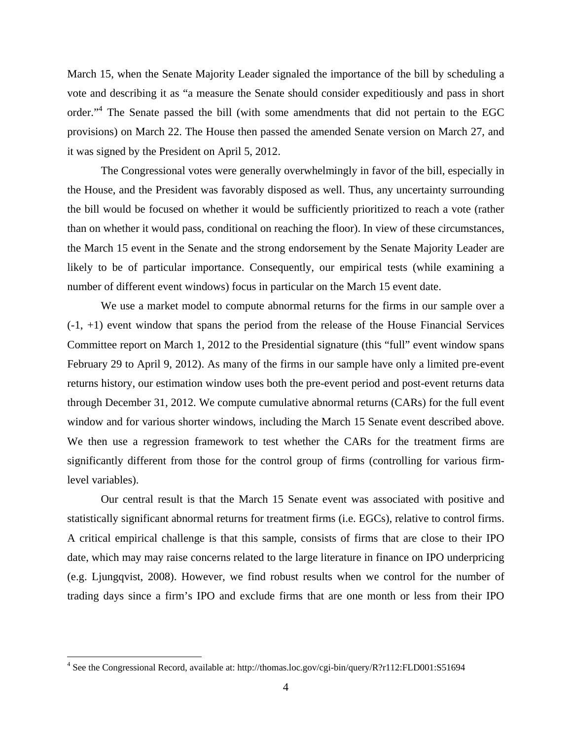March 15, when the Senate Majority Leader signaled the importance of the bill by scheduling a vote and describing it as "a measure the Senate should consider expeditiously and pass in short order."<sup>4</sup> The Senate passed the bill (with some amendments that did not pertain to the EGC provisions) on March 22. The House then passed the amended Senate version on March 27, and it was signed by the President on April 5, 2012.

The Congressional votes were generally overwhelmingly in favor of the bill, especially in the House, and the President was favorably disposed as well. Thus, any uncertainty surrounding the bill would be focused on whether it would be sufficiently prioritized to reach a vote (rather than on whether it would pass, conditional on reaching the floor). In view of these circumstances, the March 15 event in the Senate and the strong endorsement by the Senate Majority Leader are likely to be of particular importance. Consequently, our empirical tests (while examining a number of different event windows) focus in particular on the March 15 event date.

We use a market model to compute abnormal returns for the firms in our sample over a  $(-1, +1)$  event window that spans the period from the release of the House Financial Services Committee report on March 1, 2012 to the Presidential signature (this "full" event window spans February 29 to April 9, 2012). As many of the firms in our sample have only a limited pre-event returns history, our estimation window uses both the pre-event period and post-event returns data through December 31, 2012. We compute cumulative abnormal returns (CARs) for the full event window and for various shorter windows, including the March 15 Senate event described above. We then use a regression framework to test whether the CARs for the treatment firms are significantly different from those for the control group of firms (controlling for various firmlevel variables).

 Our central result is that the March 15 Senate event was associated with positive and statistically significant abnormal returns for treatment firms (i.e. EGCs), relative to control firms. A critical empirical challenge is that this sample, consists of firms that are close to their IPO date, which may may raise concerns related to the large literature in finance on IPO underpricing (e.g. Ljungqvist, 2008). However, we find robust results when we control for the number of trading days since a firm's IPO and exclude firms that are one month or less from their IPO

<sup>&</sup>lt;sup>4</sup> See the Congressional Record, available at: http://thomas.loc.gov/cgi-bin/query/R?r112:FLD001:S51694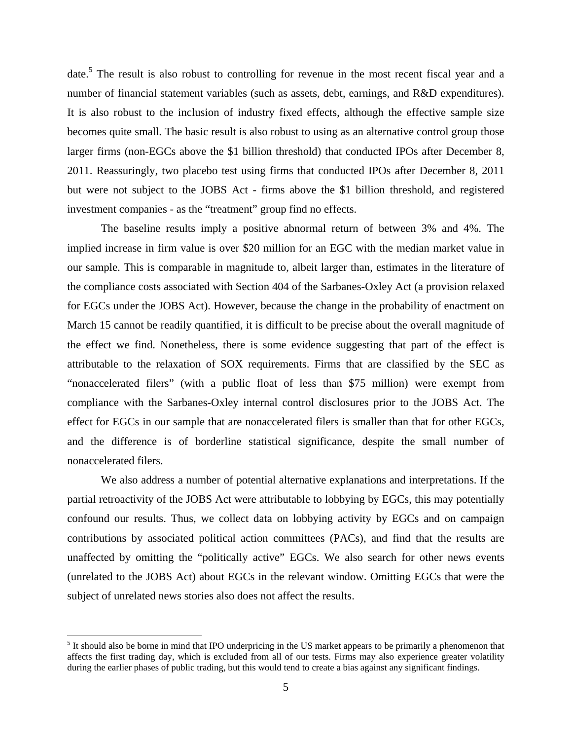date.<sup>5</sup> The result is also robust to controlling for revenue in the most recent fiscal year and a number of financial statement variables (such as assets, debt, earnings, and R&D expenditures). It is also robust to the inclusion of industry fixed effects, although the effective sample size becomes quite small. The basic result is also robust to using as an alternative control group those larger firms (non-EGCs above the \$1 billion threshold) that conducted IPOs after December 8, 2011. Reassuringly, two placebo test using firms that conducted IPOs after December 8, 2011 but were not subject to the JOBS Act - firms above the \$1 billion threshold, and registered investment companies - as the "treatment" group find no effects.

 The baseline results imply a positive abnormal return of between 3% and 4%. The implied increase in firm value is over \$20 million for an EGC with the median market value in our sample. This is comparable in magnitude to, albeit larger than, estimates in the literature of the compliance costs associated with Section 404 of the Sarbanes-Oxley Act (a provision relaxed for EGCs under the JOBS Act). However, because the change in the probability of enactment on March 15 cannot be readily quantified, it is difficult to be precise about the overall magnitude of the effect we find. Nonetheless, there is some evidence suggesting that part of the effect is attributable to the relaxation of SOX requirements. Firms that are classified by the SEC as "nonaccelerated filers" (with a public float of less than \$75 million) were exempt from compliance with the Sarbanes-Oxley internal control disclosures prior to the JOBS Act. The effect for EGCs in our sample that are nonaccelerated filers is smaller than that for other EGCs, and the difference is of borderline statistical significance, despite the small number of nonaccelerated filers.

 We also address a number of potential alternative explanations and interpretations. If the partial retroactivity of the JOBS Act were attributable to lobbying by EGCs, this may potentially confound our results. Thus, we collect data on lobbying activity by EGCs and on campaign contributions by associated political action committees (PACs), and find that the results are unaffected by omitting the "politically active" EGCs. We also search for other news events (unrelated to the JOBS Act) about EGCs in the relevant window. Omitting EGCs that were the subject of unrelated news stories also does not affect the results.

<sup>&</sup>lt;sup>5</sup> It should also be borne in mind that IPO underpricing in the US market appears to be primarily a phenomenon that affects the first trading day, which is excluded from all of our tests. Firms may also experience greater volatility during the earlier phases of public trading, but this would tend to create a bias against any significant findings.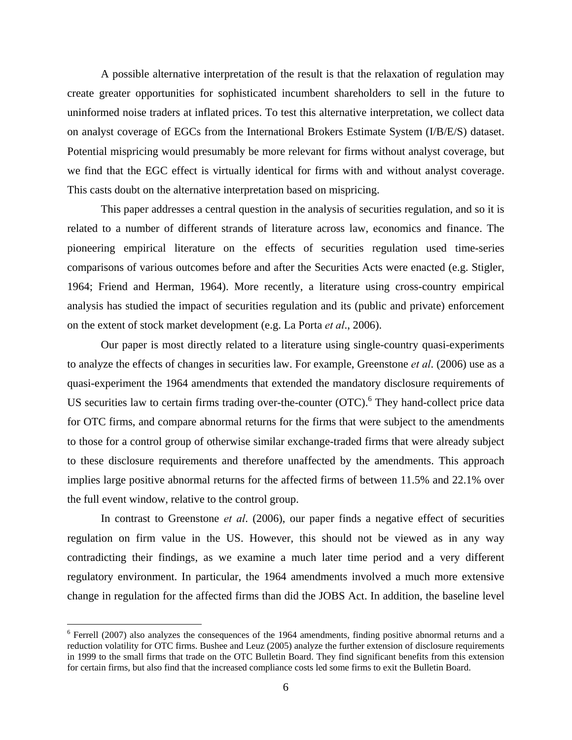A possible alternative interpretation of the result is that the relaxation of regulation may create greater opportunities for sophisticated incumbent shareholders to sell in the future to uninformed noise traders at inflated prices. To test this alternative interpretation, we collect data on analyst coverage of EGCs from the International Brokers Estimate System (I/B/E/S) dataset. Potential mispricing would presumably be more relevant for firms without analyst coverage, but we find that the EGC effect is virtually identical for firms with and without analyst coverage. This casts doubt on the alternative interpretation based on mispricing.

 This paper addresses a central question in the analysis of securities regulation, and so it is related to a number of different strands of literature across law, economics and finance. The pioneering empirical literature on the effects of securities regulation used time-series comparisons of various outcomes before and after the Securities Acts were enacted (e.g. Stigler, 1964; Friend and Herman, 1964). More recently, a literature using cross-country empirical analysis has studied the impact of securities regulation and its (public and private) enforcement on the extent of stock market development (e.g. La Porta *et al*., 2006).

Our paper is most directly related to a literature using single-country quasi-experiments to analyze the effects of changes in securities law. For example, Greenstone *et al*. (2006) use as a quasi-experiment the 1964 amendments that extended the mandatory disclosure requirements of US securities law to certain firms trading over-the-counter (OTC).<sup>6</sup> They hand-collect price data for OTC firms, and compare abnormal returns for the firms that were subject to the amendments to those for a control group of otherwise similar exchange-traded firms that were already subject to these disclosure requirements and therefore unaffected by the amendments. This approach implies large positive abnormal returns for the affected firms of between 11.5% and 22.1% over the full event window, relative to the control group.

In contrast to Greenstone *et al*. (2006), our paper finds a negative effect of securities regulation on firm value in the US. However, this should not be viewed as in any way contradicting their findings, as we examine a much later time period and a very different regulatory environment. In particular, the 1964 amendments involved a much more extensive change in regulation for the affected firms than did the JOBS Act. In addition, the baseline level

 $6$  Ferrell (2007) also analyzes the consequences of the 1964 amendments, finding positive abnormal returns and a reduction volatility for OTC firms. Bushee and Leuz (2005) analyze the further extension of disclosure requirements in 1999 to the small firms that trade on the OTC Bulletin Board. They find significant benefits from this extension for certain firms, but also find that the increased compliance costs led some firms to exit the Bulletin Board.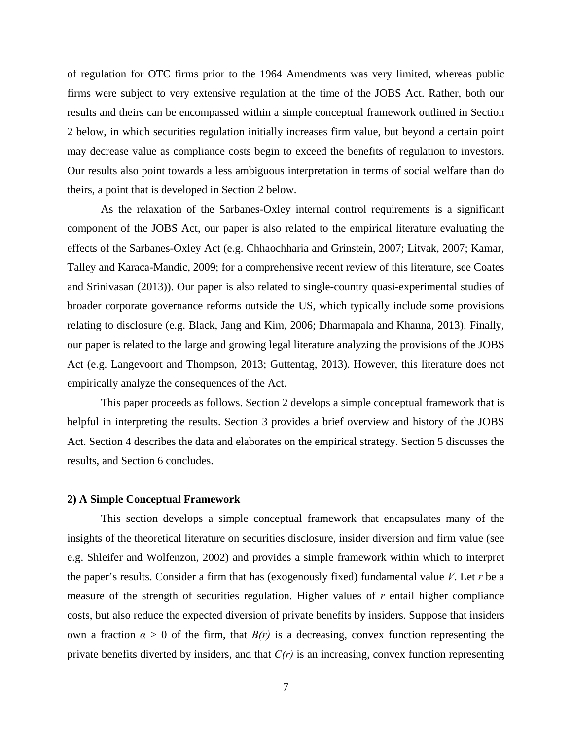of regulation for OTC firms prior to the 1964 Amendments was very limited, whereas public firms were subject to very extensive regulation at the time of the JOBS Act. Rather, both our results and theirs can be encompassed within a simple conceptual framework outlined in Section 2 below, in which securities regulation initially increases firm value, but beyond a certain point may decrease value as compliance costs begin to exceed the benefits of regulation to investors. Our results also point towards a less ambiguous interpretation in terms of social welfare than do theirs, a point that is developed in Section 2 below.

 As the relaxation of the Sarbanes-Oxley internal control requirements is a significant component of the JOBS Act, our paper is also related to the empirical literature evaluating the effects of the Sarbanes-Oxley Act (e.g. Chhaochharia and Grinstein, 2007; Litvak, 2007; Kamar, Talley and Karaca-Mandic, 2009; for a comprehensive recent review of this literature, see Coates and Srinivasan (2013)). Our paper is also related to single-country quasi-experimental studies of broader corporate governance reforms outside the US, which typically include some provisions relating to disclosure (e.g. Black, Jang and Kim, 2006; Dharmapala and Khanna, 2013). Finally, our paper is related to the large and growing legal literature analyzing the provisions of the JOBS Act (e.g. Langevoort and Thompson, 2013; Guttentag, 2013). However, this literature does not empirically analyze the consequences of the Act.

 This paper proceeds as follows. Section 2 develops a simple conceptual framework that is helpful in interpreting the results. Section 3 provides a brief overview and history of the JOBS Act. Section 4 describes the data and elaborates on the empirical strategy. Section 5 discusses the results, and Section 6 concludes.

# **2) A Simple Conceptual Framework**

This section develops a simple conceptual framework that encapsulates many of the insights of the theoretical literature on securities disclosure, insider diversion and firm value (see e.g. Shleifer and Wolfenzon, 2002) and provides a simple framework within which to interpret the paper's results. Consider a firm that has (exogenously fixed) fundamental value *V*. Let *r* be a measure of the strength of securities regulation. Higher values of *r* entail higher compliance costs, but also reduce the expected diversion of private benefits by insiders. Suppose that insiders own a fraction  $\alpha > 0$  of the firm, that  $B(r)$  is a decreasing, convex function representing the private benefits diverted by insiders, and that *C(r)* is an increasing, convex function representing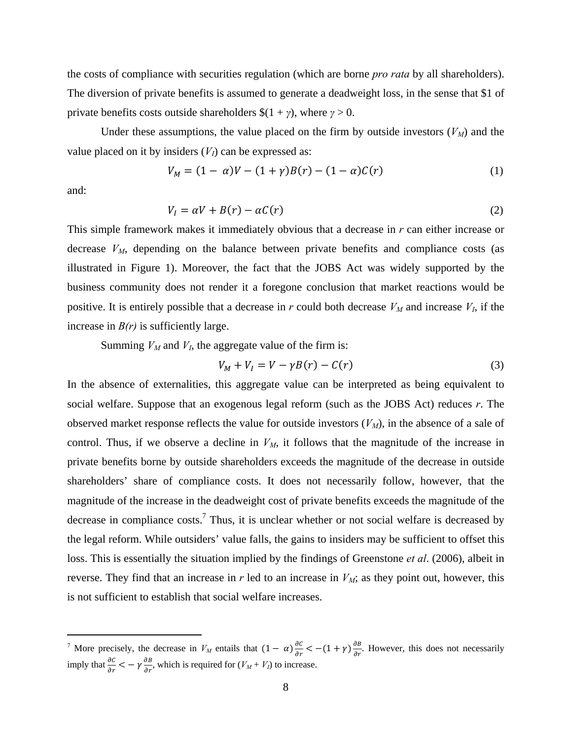the costs of compliance with securities regulation (which are borne *pro rata* by all shareholders). The diversion of private benefits is assumed to generate a deadweight loss, in the sense that \$1 of private benefits costs outside shareholders  $\$(1 + \gamma)$ , where  $\gamma > 0$ .

Under these assumptions, the value placed on the firm by outside investors  $(V_M)$  and the value placed on it by insiders  $(V_I)$  can be expressed as:

$$
V_M = (1 - \alpha)V - (1 + \gamma)B(r) - (1 - \alpha)C(r)
$$
 (1)

and:

 $\overline{a}$ 

$$
V_I = \alpha V + B(r) - \alpha C(r) \tag{2}
$$

This simple framework makes it immediately obvious that a decrease in *r* can either increase or decrease  $V_M$ , depending on the balance between private benefits and compliance costs (as illustrated in Figure 1). Moreover, the fact that the JOBS Act was widely supported by the business community does not render it a foregone conclusion that market reactions would be positive. It is entirely possible that a decrease in  $r$  could both decrease  $V_M$  and increase  $V_I$ , if the increase in  $B(r)$  is sufficiently large.

Summing  $V_M$  and  $V_I$ , the aggregate value of the firm is:

$$
V_M + V_I = V - \gamma B(r) - C(r) \tag{3}
$$

In the absence of externalities, this aggregate value can be interpreted as being equivalent to social welfare. Suppose that an exogenous legal reform (such as the JOBS Act) reduces *r*. The observed market response reflects the value for outside investors  $(V_M)$ , in the absence of a sale of control. Thus, if we observe a decline in  $V_M$ , it follows that the magnitude of the increase in private benefits borne by outside shareholders exceeds the magnitude of the decrease in outside shareholders' share of compliance costs. It does not necessarily follow, however, that the magnitude of the increase in the deadweight cost of private benefits exceeds the magnitude of the decrease in compliance costs.<sup>7</sup> Thus, it is unclear whether or not social welfare is decreased by the legal reform. While outsiders' value falls, the gains to insiders may be sufficient to offset this loss. This is essentially the situation implied by the findings of Greenstone *et al*. (2006), albeit in reverse. They find that an increase in  $r$  led to an increase in  $V_M$ ; as they point out, however, this is not sufficient to establish that social welfare increases.

<sup>&</sup>lt;sup>7</sup> More precisely, the decrease in  $V_M$  entails that  $(1 - \alpha) \frac{\partial c}{\partial r} < -(1 + \gamma) \frac{\partial B}{\partial r}$ . However, this does not necessarily imply that  $\frac{\partial c}{\partial r} < -\gamma \frac{\partial B}{\partial r}$ , which is required for  $(V_M + V_I)$  to increase.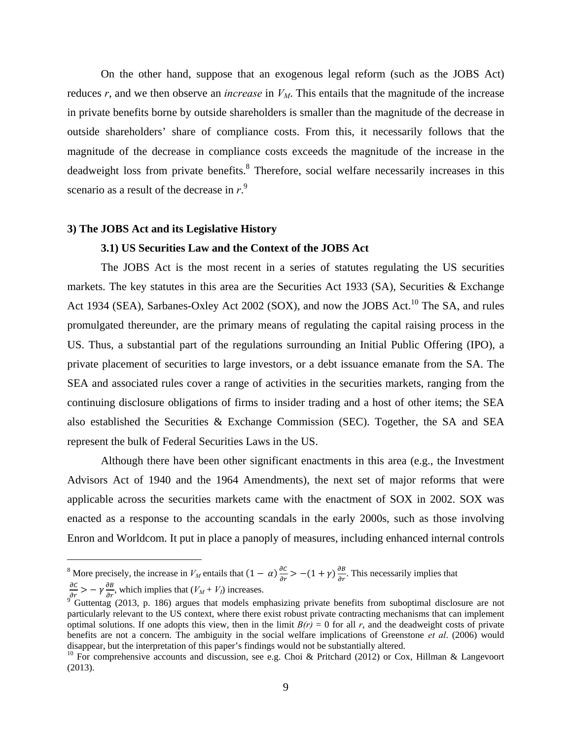On the other hand, suppose that an exogenous legal reform (such as the JOBS Act) reduces *r*, and we then observe an *increase* in  $V<sub>M</sub>$ . This entails that the magnitude of the increase in private benefits borne by outside shareholders is smaller than the magnitude of the decrease in outside shareholders' share of compliance costs. From this, it necessarily follows that the magnitude of the decrease in compliance costs exceeds the magnitude of the increase in the deadweight loss from private benefits.<sup>8</sup> Therefore, social welfare necessarily increases in this scenario as a result of the decrease in *r*. 9

### **3) The JOBS Act and its Legislative History**

# **3.1) US Securities Law and the Context of the JOBS Act**

The JOBS Act is the most recent in a series of statutes regulating the US securities markets. The key statutes in this area are the Securities Act 1933 (SA), Securities & Exchange Act 1934 (SEA), Sarbanes-Oxley Act 2002 (SOX), and now the JOBS Act.<sup>10</sup> The SA, and rules promulgated thereunder, are the primary means of regulating the capital raising process in the US. Thus, a substantial part of the regulations surrounding an Initial Public Offering (IPO), a private placement of securities to large investors, or a debt issuance emanate from the SA. The SEA and associated rules cover a range of activities in the securities markets, ranging from the continuing disclosure obligations of firms to insider trading and a host of other items; the SEA also established the Securities & Exchange Commission (SEC). Together, the SA and SEA represent the bulk of Federal Securities Laws in the US.

Although there have been other significant enactments in this area (e.g., the Investment Advisors Act of 1940 and the 1964 Amendments), the next set of major reforms that were applicable across the securities markets came with the enactment of SOX in 2002. SOX was enacted as a response to the accounting scandals in the early 2000s, such as those involving Enron and Worldcom. It put in place a panoply of measures, including enhanced internal controls

1

<sup>&</sup>lt;sup>8</sup> More precisely, the increase in  $V_M$  entails that  $(1 - \alpha) \frac{\partial c}{\partial r} > -(1 + \gamma) \frac{\partial B}{\partial r}$ . This necessarily implies that

 $\frac{\partial C}{\partial r}$  > -  $\gamma \frac{\partial B}{\partial r}$ , which implies that  $(V_M + V_I)$  increases.<br><sup>9</sup> Guttentag (2013, p. 186) argues that models emphasizing private benefits from suboptimal disclosure are not particularly relevant to the US context, where there exist robust private contracting mechanisms that can implement optimal solutions. If one adopts this view, then in the limit  $B(r) = 0$  for all *r*, and the deadweight costs of private benefits are not a concern. The ambiguity in the social welfare implications of Greenstone *et al*. (2006) would disappear, but the interpretation of this paper's findings would not be substantially altered.<br><sup>10</sup> For comprehensive accounts and discussion, see e.g. Choi & Pritchard (2012) or Cox, Hillman & Langevoort

<sup>(2013).</sup>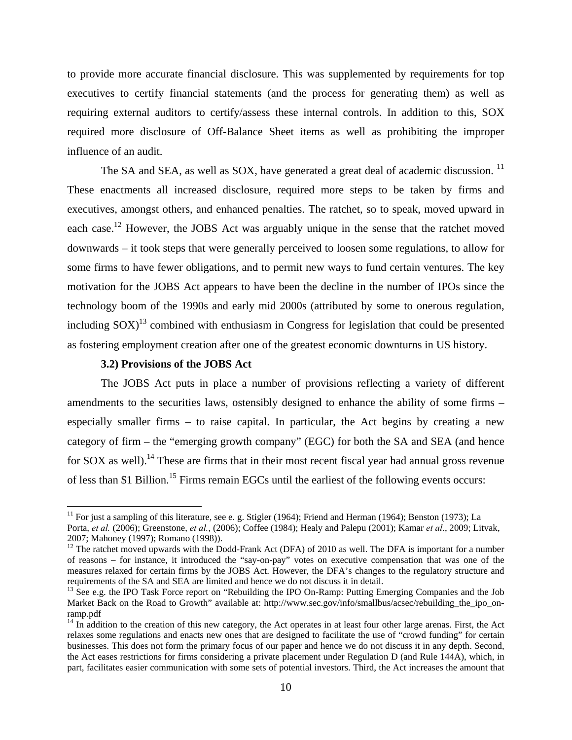to provide more accurate financial disclosure. This was supplemented by requirements for top executives to certify financial statements (and the process for generating them) as well as requiring external auditors to certify/assess these internal controls. In addition to this, SOX required more disclosure of Off-Balance Sheet items as well as prohibiting the improper influence of an audit.

The SA and SEA, as well as SOX, have generated a great deal of academic discussion.<sup>11</sup> These enactments all increased disclosure, required more steps to be taken by firms and executives, amongst others, and enhanced penalties. The ratchet, so to speak, moved upward in each case.<sup>12</sup> However, the JOBS Act was arguably unique in the sense that the ratchet moved downwards – it took steps that were generally perceived to loosen some regulations, to allow for some firms to have fewer obligations, and to permit new ways to fund certain ventures. The key motivation for the JOBS Act appears to have been the decline in the number of IPOs since the technology boom of the 1990s and early mid 2000s (attributed by some to onerous regulation, including  $SOX$ <sup>13</sup> combined with enthusiasm in Congress for legislation that could be presented as fostering employment creation after one of the greatest economic downturns in US history.

#### **3.2) Provisions of the JOBS Act**

 $\overline{a}$ 

The JOBS Act puts in place a number of provisions reflecting a variety of different amendments to the securities laws, ostensibly designed to enhance the ability of some firms – especially smaller firms – to raise capital. In particular, the Act begins by creating a new category of firm – the "emerging growth company" (EGC) for both the SA and SEA (and hence for SOX as well).<sup>14</sup> These are firms that in their most recent fiscal year had annual gross revenue of less than \$1 Billion.15 Firms remain EGCs until the earliest of the following events occurs:

<sup>&</sup>lt;sup>11</sup> For just a sampling of this literature, see e. g. Stigler (1964); Friend and Herman (1964); Benston (1973); La Porta, *et al.* (2006); Greenstone, *et al.*, (2006); Coffee (1984); Healy and Palepu (2001); Kamar *et al*., 2009; Litvak, 2007; Mahoney (1997); Romano (1998)).

 $12$  The ratchet moved upwards with the Dodd-Frank Act (DFA) of 2010 as well. The DFA is important for a number of reasons – for instance, it introduced the "say-on-pay" votes on executive compensation that was one of the measures relaxed for certain firms by the JOBS Act. However, the DFA's changes to the regulatory structure and

<sup>&</sup>lt;sup>13</sup> See e.g. the IPO Task Force report on "Rebuilding the IPO On-Ramp: Putting Emerging Companies and the Job Market Back on the Road to Growth" available at: http://www.sec.gov/info/smallbus/acsec/rebuilding the ipo\_onramp.pdf

<sup>&</sup>lt;sup>14</sup> In addition to the creation of this new category, the Act operates in at least four other large arenas. First, the Act relaxes some regulations and enacts new ones that are designed to facilitate the use of "crowd funding" for certain businesses. This does not form the primary focus of our paper and hence we do not discuss it in any depth. Second, the Act eases restrictions for firms considering a private placement under Regulation D (and Rule 144A), which, in part, facilitates easier communication with some sets of potential investors. Third, the Act increases the amount that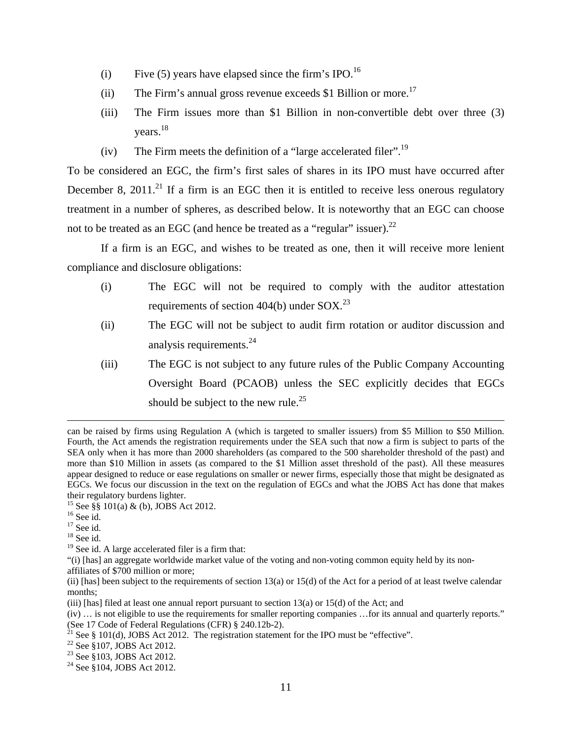- (i) Five (5) years have elapsed since the firm's IPO.<sup>16</sup>
- (ii) The Firm's annual gross revenue exceeds \$1 Billion or more.<sup>17</sup>
- (iii) The Firm issues more than \$1 Billion in non-convertible debt over three (3) years.<sup>18</sup>
- (iv) The Firm meets the definition of a "large accelerated filer".<sup>19</sup>

To be considered an EGC, the firm's first sales of shares in its IPO must have occurred after December 8, 2011.<sup>21</sup> If a firm is an EGC then it is entitled to receive less onerous regulatory treatment in a number of spheres, as described below. It is noteworthy that an EGC can choose not to be treated as an EGC (and hence be treated as a "regular" issuer). $^{22}$ 

If a firm is an EGC, and wishes to be treated as one, then it will receive more lenient compliance and disclosure obligations:

- (i) The EGC will not be required to comply with the auditor attestation requirements of section 404(b) under  $SOX$ .<sup>23</sup>
- (ii) The EGC will not be subject to audit firm rotation or auditor discussion and analysis requirements.<sup>24</sup>
- (iii) The EGC is not subject to any future rules of the Public Company Accounting Oversight Board (PCAOB) unless the SEC explicitly decides that EGCs should be subject to the new rule.<sup>25</sup>

affiliates of \$700 million or more;

can be raised by firms using Regulation A (which is targeted to smaller issuers) from \$5 Million to \$50 Million. Fourth, the Act amends the registration requirements under the SEA such that now a firm is subject to parts of the SEA only when it has more than 2000 shareholders (as compared to the 500 shareholder threshold of the past) and more than \$10 Million in assets (as compared to the \$1 Million asset threshold of the past). All these measures appear designed to reduce or ease regulations on smaller or newer firms, especially those that might be designated as EGCs. We focus our discussion in the text on the regulation of EGCs and what the JOBS Act has done that makes their regulatory burdens lighter.

<sup>15</sup> See §§ 101(a) & (b), JOBS Act 2012.

 $^{16}$  See id.

 $17$  See id.

 $18$  See id.

 $19$  See id. A large accelerated filer is a firm that:

<sup>&</sup>quot;(i) [has] an aggregate worldwide market value of the voting and non-voting common equity held by its non-

<sup>(</sup>ii) [has] been subject to the requirements of section  $13(a)$  or  $15(d)$  of the Act for a period of at least twelve calendar months;

 $(iii)$  [has] filed at least one annual report pursuant to section 13(a) or 15(d) of the Act; and

<sup>(</sup>iv) … is not eligible to use the requirements for smaller reporting companies …for its annual and quarterly reports."

<sup>(</sup>See 17 Code of Federal Regulations (CFR) § 240.12b-2).

<sup>&</sup>lt;sup>21</sup> See § 101(d), JOBS Act 2012. The registration statement for the IPO must be "effective". <sup>22</sup> See §107, JOBS Act 2012.

<sup>&</sup>lt;sup>22</sup> See §107, JOBS Act 2012.<br><sup>23</sup> See §103, JOBS Act 2012.

 $24$  See §104, JOBS Act 2012.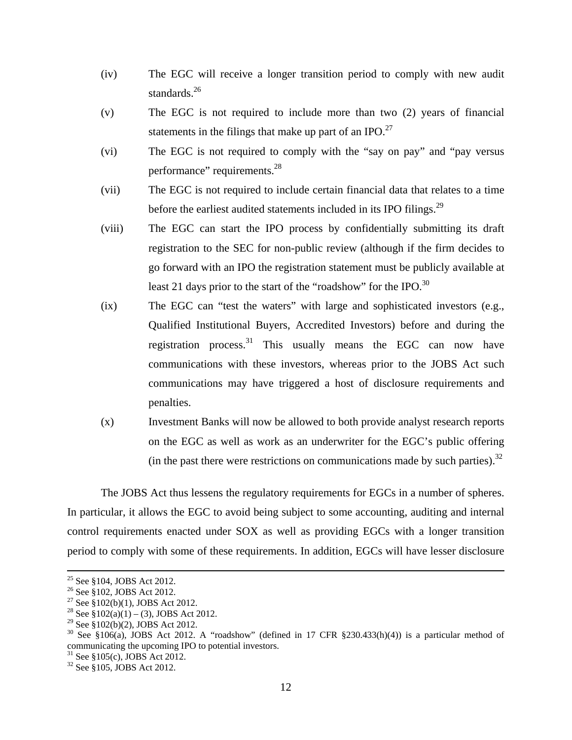- (iv) The EGC will receive a longer transition period to comply with new audit standards. $^{26}$
- (v) The EGC is not required to include more than two (2) years of financial statements in the filings that make up part of an IPO. $^{27}$
- (vi) The EGC is not required to comply with the "say on pay" and "pay versus performance" requirements.<sup>28</sup>
- (vii) The EGC is not required to include certain financial data that relates to a time before the earliest audited statements included in its IPO filings.<sup>29</sup>
- (viii) The EGC can start the IPO process by confidentially submitting its draft registration to the SEC for non-public review (although if the firm decides to go forward with an IPO the registration statement must be publicly available at least 21 days prior to the start of the "roadshow" for the IPO. $^{30}$
- (ix) The EGC can "test the waters" with large and sophisticated investors (e.g., Qualified Institutional Buyers, Accredited Investors) before and during the registration process.<sup>31</sup> This usually means the EGC can now have communications with these investors, whereas prior to the JOBS Act such communications may have triggered a host of disclosure requirements and penalties.
- (x) Investment Banks will now be allowed to both provide analyst research reports on the EGC as well as work as an underwriter for the EGC's public offering (in the past there were restrictions on communications made by such parties).<sup>32</sup>

The JOBS Act thus lessens the regulatory requirements for EGCs in a number of spheres. In particular, it allows the EGC to avoid being subject to some accounting, auditing and internal control requirements enacted under SOX as well as providing EGCs with a longer transition period to comply with some of these requirements. In addition, EGCs will have lesser disclosure

 $31$  See §105(c), JOBS Act 2012.

 <sup>25</sup> See §104, JOBS Act 2012.

<sup>&</sup>lt;sup>26</sup> See §102, JOBS Act 2012.

<sup>&</sup>lt;sup>27</sup> See §102(b)(1), JOBS Act 2012.

<sup>&</sup>lt;sup>28</sup> See §102(a)(1) – (3), JOBS Act 2012.

<sup>&</sup>lt;sup>29</sup> See §102(b)(2), JOBS Act 2012.

 $30$  See §106(a), JOBS Act 2012. A "roadshow" (defined in 17 CFR §230.433(h)(4)) is a particular method of communicating the upcoming IPO to potential investors.

<sup>32</sup> See §105, JOBS Act 2012.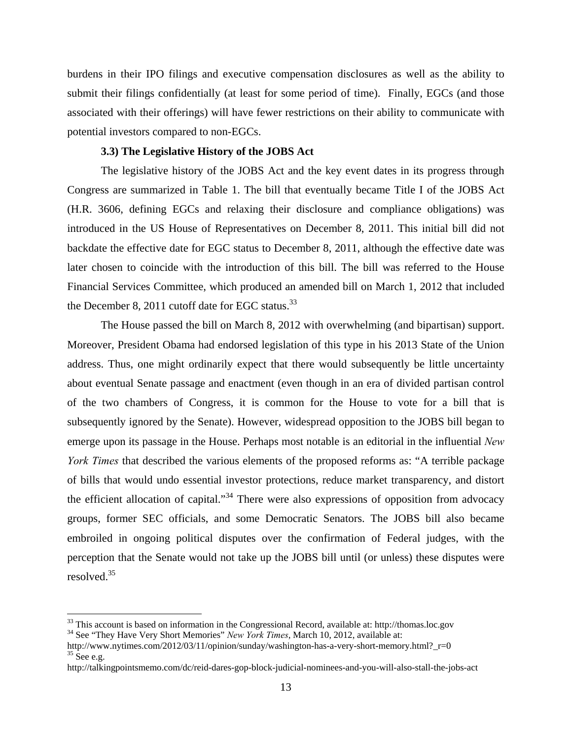burdens in their IPO filings and executive compensation disclosures as well as the ability to submit their filings confidentially (at least for some period of time). Finally, EGCs (and those associated with their offerings) will have fewer restrictions on their ability to communicate with potential investors compared to non-EGCs.

# **3.3) The Legislative History of the JOBS Act**

The legislative history of the JOBS Act and the key event dates in its progress through Congress are summarized in Table 1. The bill that eventually became Title I of the JOBS Act (H.R. 3606, defining EGCs and relaxing their disclosure and compliance obligations) was introduced in the US House of Representatives on December 8, 2011. This initial bill did not backdate the effective date for EGC status to December 8, 2011, although the effective date was later chosen to coincide with the introduction of this bill. The bill was referred to the House Financial Services Committee, which produced an amended bill on March 1, 2012 that included the December 8, 2011 cutoff date for EGC status.<sup>33</sup>

The House passed the bill on March 8, 2012 with overwhelming (and bipartisan) support. Moreover, President Obama had endorsed legislation of this type in his 2013 State of the Union address. Thus, one might ordinarily expect that there would subsequently be little uncertainty about eventual Senate passage and enactment (even though in an era of divided partisan control of the two chambers of Congress, it is common for the House to vote for a bill that is subsequently ignored by the Senate). However, widespread opposition to the JOBS bill began to emerge upon its passage in the House. Perhaps most notable is an editorial in the influential *New York Times* that described the various elements of the proposed reforms as: "A terrible package of bills that would undo essential investor protections, reduce market transparency, and distort the efficient allocation of capital."<sup>34</sup> There were also expressions of opposition from advocacy groups, former SEC officials, and some Democratic Senators. The JOBS bill also became embroiled in ongoing political disputes over the confirmation of Federal judges, with the perception that the Senate would not take up the JOBS bill until (or unless) these disputes were resolved.35

1

<sup>&</sup>lt;sup>33</sup> This account is based on information in the Congressional Record, available at: http://thomas.loc.gov  $34$  See "They Have Very Short Memories" *New York Times*, March 10, 2012, available at:

http://www.nytimes.com/2012/03/11/opinion/sunday/washington-has-a-very-short-memory.html?\_r=0 <sup>35</sup> See e.g.

http://talkingpointsmemo.com/dc/reid-dares-gop-block-judicial-nominees-and-you-will-also-stall-the-jobs-act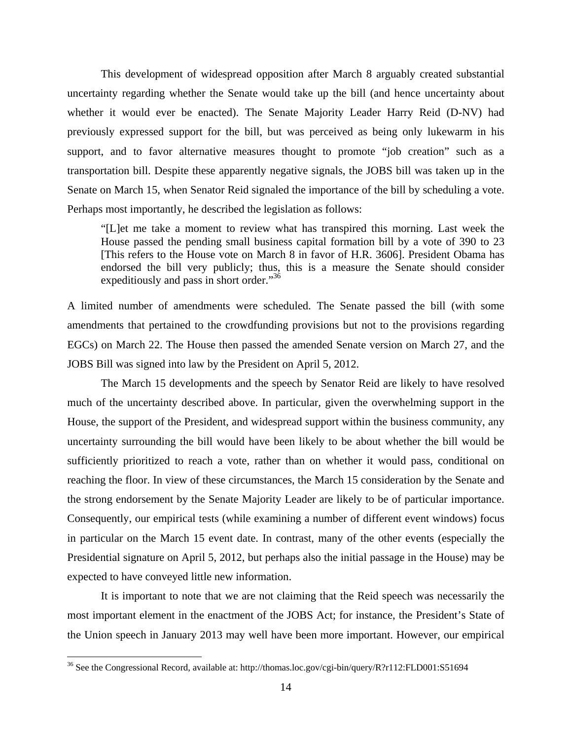This development of widespread opposition after March 8 arguably created substantial uncertainty regarding whether the Senate would take up the bill (and hence uncertainty about whether it would ever be enacted). The Senate Majority Leader Harry Reid (D-NV) had previously expressed support for the bill, but was perceived as being only lukewarm in his support, and to favor alternative measures thought to promote "job creation" such as a transportation bill. Despite these apparently negative signals, the JOBS bill was taken up in the Senate on March 15, when Senator Reid signaled the importance of the bill by scheduling a vote. Perhaps most importantly, he described the legislation as follows:

"[L]et me take a moment to review what has transpired this morning. Last week the House passed the pending small business capital formation bill by a vote of 390 to 23 [This refers to the House vote on March 8 in favor of H.R. 3606]. President Obama has endorsed the bill very publicly; thus, this is a measure the Senate should consider expeditiously and pass in short order."<sup>36</sup>

A limited number of amendments were scheduled. The Senate passed the bill (with some amendments that pertained to the crowdfunding provisions but not to the provisions regarding EGCs) on March 22. The House then passed the amended Senate version on March 27, and the JOBS Bill was signed into law by the President on April 5, 2012.

The March 15 developments and the speech by Senator Reid are likely to have resolved much of the uncertainty described above. In particular, given the overwhelming support in the House, the support of the President, and widespread support within the business community, any uncertainty surrounding the bill would have been likely to be about whether the bill would be sufficiently prioritized to reach a vote, rather than on whether it would pass, conditional on reaching the floor. In view of these circumstances, the March 15 consideration by the Senate and the strong endorsement by the Senate Majority Leader are likely to be of particular importance. Consequently, our empirical tests (while examining a number of different event windows) focus in particular on the March 15 event date. In contrast, many of the other events (especially the Presidential signature on April 5, 2012, but perhaps also the initial passage in the House) may be expected to have conveyed little new information.

It is important to note that we are not claiming that the Reid speech was necessarily the most important element in the enactment of the JOBS Act; for instance, the President's State of the Union speech in January 2013 may well have been more important. However, our empirical

<u>.</u>

<sup>&</sup>lt;sup>36</sup> See the Congressional Record, available at: http://thomas.loc.gov/cgi-bin/query/R?r112:FLD001:S51694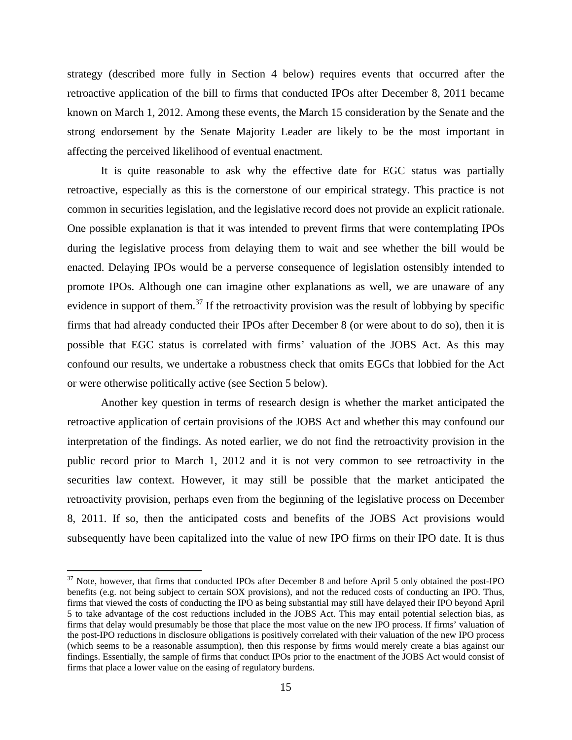strategy (described more fully in Section 4 below) requires events that occurred after the retroactive application of the bill to firms that conducted IPOs after December 8, 2011 became known on March 1, 2012. Among these events, the March 15 consideration by the Senate and the strong endorsement by the Senate Majority Leader are likely to be the most important in affecting the perceived likelihood of eventual enactment.

It is quite reasonable to ask why the effective date for EGC status was partially retroactive, especially as this is the cornerstone of our empirical strategy. This practice is not common in securities legislation, and the legislative record does not provide an explicit rationale. One possible explanation is that it was intended to prevent firms that were contemplating IPOs during the legislative process from delaying them to wait and see whether the bill would be enacted. Delaying IPOs would be a perverse consequence of legislation ostensibly intended to promote IPOs. Although one can imagine other explanations as well, we are unaware of any evidence in support of them.<sup>37</sup> If the retroactivity provision was the result of lobbying by specific firms that had already conducted their IPOs after December 8 (or were about to do so), then it is possible that EGC status is correlated with firms' valuation of the JOBS Act. As this may confound our results, we undertake a robustness check that omits EGCs that lobbied for the Act or were otherwise politically active (see Section 5 below).

Another key question in terms of research design is whether the market anticipated the retroactive application of certain provisions of the JOBS Act and whether this may confound our interpretation of the findings. As noted earlier, we do not find the retroactivity provision in the public record prior to March 1, 2012 and it is not very common to see retroactivity in the securities law context. However, it may still be possible that the market anticipated the retroactivity provision, perhaps even from the beginning of the legislative process on December 8, 2011. If so, then the anticipated costs and benefits of the JOBS Act provisions would subsequently have been capitalized into the value of new IPO firms on their IPO date. It is thus

<sup>&</sup>lt;sup>37</sup> Note, however, that firms that conducted IPOs after December 8 and before April 5 only obtained the post-IPO benefits (e.g. not being subject to certain SOX provisions), and not the reduced costs of conducting an IPO. Thus, firms that viewed the costs of conducting the IPO as being substantial may still have delayed their IPO beyond April 5 to take advantage of the cost reductions included in the JOBS Act. This may entail potential selection bias, as firms that delay would presumably be those that place the most value on the new IPO process. If firms' valuation of the post-IPO reductions in disclosure obligations is positively correlated with their valuation of the new IPO process (which seems to be a reasonable assumption), then this response by firms would merely create a bias against our findings. Essentially, the sample of firms that conduct IPOs prior to the enactment of the JOBS Act would consist of firms that place a lower value on the easing of regulatory burdens.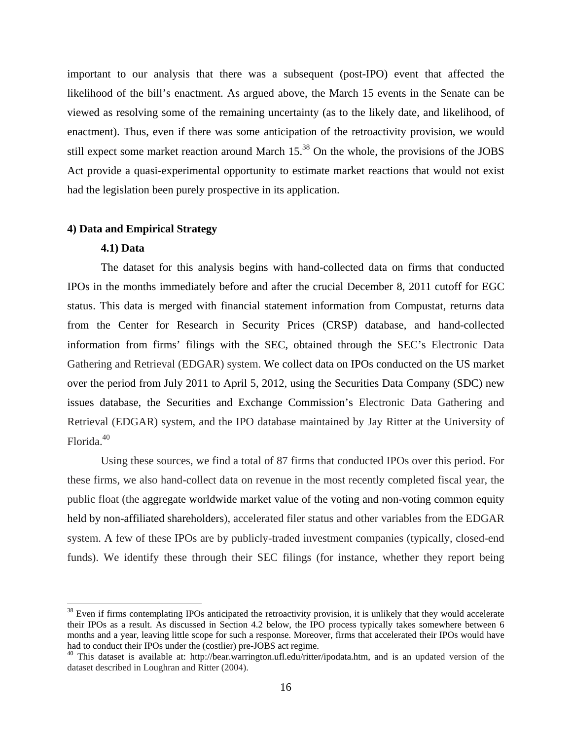important to our analysis that there was a subsequent (post-IPO) event that affected the likelihood of the bill's enactment. As argued above, the March 15 events in the Senate can be viewed as resolving some of the remaining uncertainty (as to the likely date, and likelihood, of enactment). Thus, even if there was some anticipation of the retroactivity provision, we would still expect some market reaction around March 15.<sup>38</sup> On the whole, the provisions of the JOBS Act provide a quasi-experimental opportunity to estimate market reactions that would not exist had the legislation been purely prospective in its application.

## **4) Data and Empirical Strategy**

# **4.1) Data**

1

The dataset for this analysis begins with hand-collected data on firms that conducted IPOs in the months immediately before and after the crucial December 8, 2011 cutoff for EGC status. This data is merged with financial statement information from Compustat, returns data from the Center for Research in Security Prices (CRSP) database, and hand-collected information from firms' filings with the SEC, obtained through the SEC's Electronic Data Gathering and Retrieval (EDGAR) system. We collect data on IPOs conducted on the US market over the period from July 2011 to April 5, 2012, using the Securities Data Company (SDC) new issues database, the Securities and Exchange Commission's Electronic Data Gathering and Retrieval (EDGAR) system, and the IPO database maintained by Jay Ritter at the University of Florida.40

Using these sources, we find a total of 87 firms that conducted IPOs over this period. For these firms, we also hand-collect data on revenue in the most recently completed fiscal year, the public float (the aggregate worldwide market value of the voting and non-voting common equity held by non-affiliated shareholders), accelerated filer status and other variables from the EDGAR system. A few of these IPOs are by publicly-traded investment companies (typically, closed-end funds). We identify these through their SEC filings (for instance, whether they report being

 $38$  Even if firms contemplating IPOs anticipated the retroactivity provision, it is unlikely that they would accelerate their IPOs as a result. As discussed in Section 4.2 below, the IPO process typically takes somewhere between 6 months and a year, leaving little scope for such a response. Moreover, firms that accelerated their IPOs would have had to conduct their IPOs under the (costlier) pre-JOBS act regime.

<sup>&</sup>lt;sup>40</sup> This dataset is available at: http://bear.warrington.ufl.edu/ritter/ipodata.htm, and is an updated version of the dataset described in Loughran and Ritter (2004).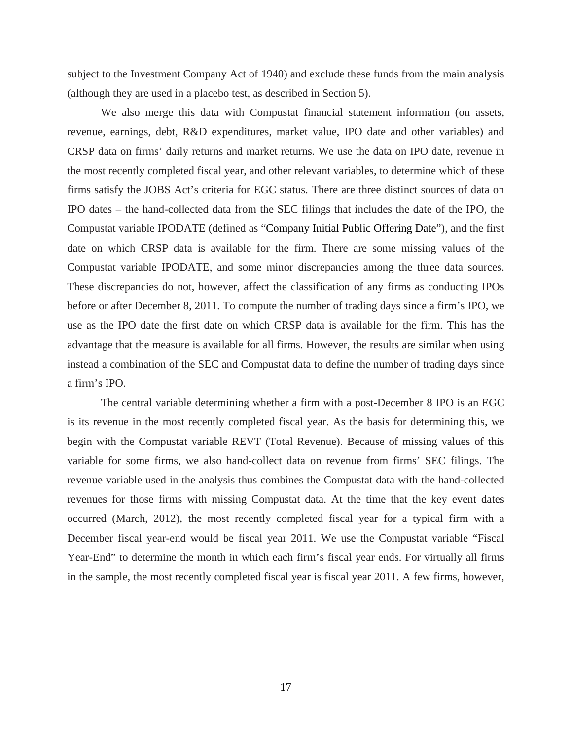subject to the Investment Company Act of 1940) and exclude these funds from the main analysis (although they are used in a placebo test, as described in Section 5).

We also merge this data with Compustat financial statement information (on assets, revenue, earnings, debt, R&D expenditures, market value, IPO date and other variables) and CRSP data on firms' daily returns and market returns. We use the data on IPO date, revenue in the most recently completed fiscal year, and other relevant variables, to determine which of these firms satisfy the JOBS Act's criteria for EGC status. There are three distinct sources of data on IPO dates – the hand-collected data from the SEC filings that includes the date of the IPO, the Compustat variable IPODATE (defined as "Company Initial Public Offering Date"), and the first date on which CRSP data is available for the firm. There are some missing values of the Compustat variable IPODATE, and some minor discrepancies among the three data sources. These discrepancies do not, however, affect the classification of any firms as conducting IPOs before or after December 8, 2011. To compute the number of trading days since a firm's IPO, we use as the IPO date the first date on which CRSP data is available for the firm. This has the advantage that the measure is available for all firms. However, the results are similar when using instead a combination of the SEC and Compustat data to define the number of trading days since a firm's IPO.

The central variable determining whether a firm with a post-December 8 IPO is an EGC is its revenue in the most recently completed fiscal year. As the basis for determining this, we begin with the Compustat variable REVT (Total Revenue). Because of missing values of this variable for some firms, we also hand-collect data on revenue from firms' SEC filings. The revenue variable used in the analysis thus combines the Compustat data with the hand-collected revenues for those firms with missing Compustat data. At the time that the key event dates occurred (March, 2012), the most recently completed fiscal year for a typical firm with a December fiscal year-end would be fiscal year 2011. We use the Compustat variable "Fiscal Year-End" to determine the month in which each firm's fiscal year ends. For virtually all firms in the sample, the most recently completed fiscal year is fiscal year 2011. A few firms, however,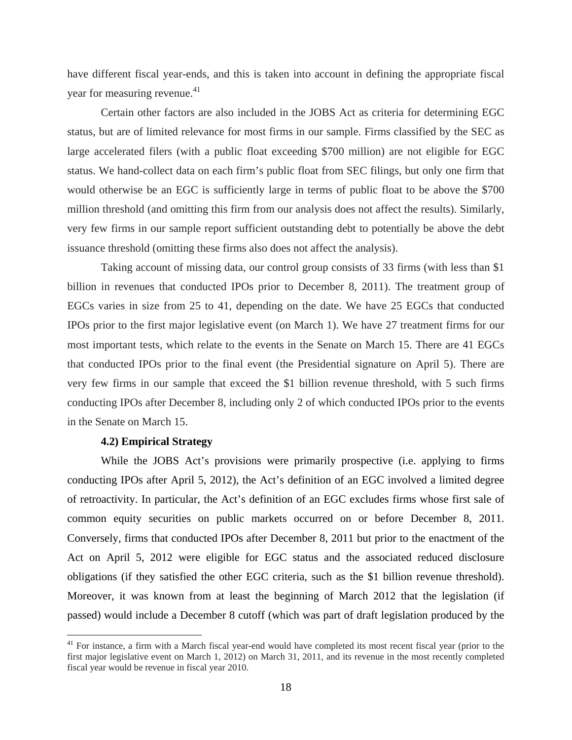have different fiscal year-ends, and this is taken into account in defining the appropriate fiscal year for measuring revenue.<sup>41</sup>

Certain other factors are also included in the JOBS Act as criteria for determining EGC status, but are of limited relevance for most firms in our sample. Firms classified by the SEC as large accelerated filers (with a public float exceeding \$700 million) are not eligible for EGC status. We hand-collect data on each firm's public float from SEC filings, but only one firm that would otherwise be an EGC is sufficiently large in terms of public float to be above the \$700 million threshold (and omitting this firm from our analysis does not affect the results). Similarly, very few firms in our sample report sufficient outstanding debt to potentially be above the debt issuance threshold (omitting these firms also does not affect the analysis).

Taking account of missing data, our control group consists of 33 firms (with less than \$1 billion in revenues that conducted IPOs prior to December 8, 2011). The treatment group of EGCs varies in size from 25 to 41, depending on the date. We have 25 EGCs that conducted IPOs prior to the first major legislative event (on March 1). We have 27 treatment firms for our most important tests, which relate to the events in the Senate on March 15. There are 41 EGCs that conducted IPOs prior to the final event (the Presidential signature on April 5). There are very few firms in our sample that exceed the \$1 billion revenue threshold, with 5 such firms conducting IPOs after December 8, including only 2 of which conducted IPOs prior to the events in the Senate on March 15.

#### **4.2) Empirical Strategy**

 $\overline{a}$ 

While the JOBS Act's provisions were primarily prospective (i.e. applying to firms conducting IPOs after April 5, 2012), the Act's definition of an EGC involved a limited degree of retroactivity. In particular, the Act's definition of an EGC excludes firms whose first sale of common equity securities on public markets occurred on or before December 8, 2011. Conversely, firms that conducted IPOs after December 8, 2011 but prior to the enactment of the Act on April 5, 2012 were eligible for EGC status and the associated reduced disclosure obligations (if they satisfied the other EGC criteria, such as the \$1 billion revenue threshold). Moreover, it was known from at least the beginning of March 2012 that the legislation (if passed) would include a December 8 cutoff (which was part of draft legislation produced by the

<sup>&</sup>lt;sup>41</sup> For instance, a firm with a March fiscal year-end would have completed its most recent fiscal year (prior to the first major legislative event on March 1, 2012) on March 31, 2011, and its revenue in the most recently completed fiscal year would be revenue in fiscal year 2010.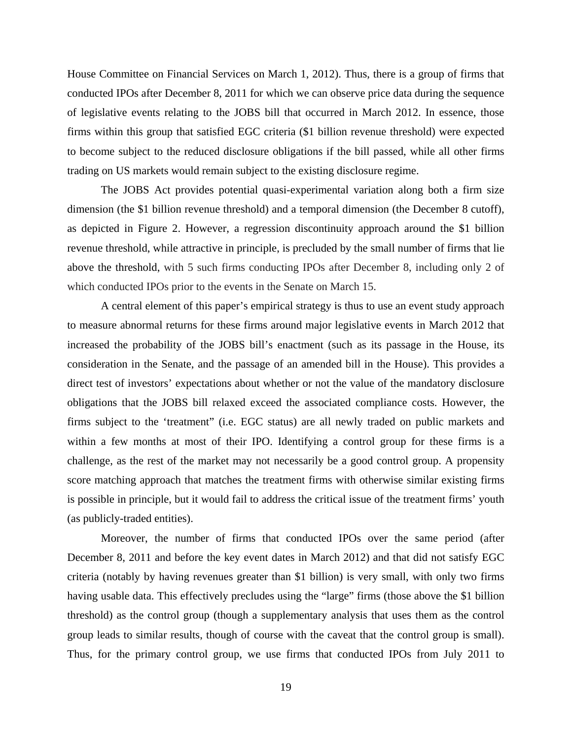House Committee on Financial Services on March 1, 2012). Thus, there is a group of firms that conducted IPOs after December 8, 2011 for which we can observe price data during the sequence of legislative events relating to the JOBS bill that occurred in March 2012. In essence, those firms within this group that satisfied EGC criteria (\$1 billion revenue threshold) were expected to become subject to the reduced disclosure obligations if the bill passed, while all other firms trading on US markets would remain subject to the existing disclosure regime.

The JOBS Act provides potential quasi-experimental variation along both a firm size dimension (the \$1 billion revenue threshold) and a temporal dimension (the December 8 cutoff), as depicted in Figure 2. However, a regression discontinuity approach around the \$1 billion revenue threshold, while attractive in principle, is precluded by the small number of firms that lie above the threshold, with 5 such firms conducting IPOs after December 8, including only 2 of which conducted IPOs prior to the events in the Senate on March 15.

A central element of this paper's empirical strategy is thus to use an event study approach to measure abnormal returns for these firms around major legislative events in March 2012 that increased the probability of the JOBS bill's enactment (such as its passage in the House, its consideration in the Senate, and the passage of an amended bill in the House). This provides a direct test of investors' expectations about whether or not the value of the mandatory disclosure obligations that the JOBS bill relaxed exceed the associated compliance costs. However, the firms subject to the 'treatment" (i.e. EGC status) are all newly traded on public markets and within a few months at most of their IPO. Identifying a control group for these firms is a challenge, as the rest of the market may not necessarily be a good control group. A propensity score matching approach that matches the treatment firms with otherwise similar existing firms is possible in principle, but it would fail to address the critical issue of the treatment firms' youth (as publicly-traded entities).

Moreover, the number of firms that conducted IPOs over the same period (after December 8, 2011 and before the key event dates in March 2012) and that did not satisfy EGC criteria (notably by having revenues greater than \$1 billion) is very small, with only two firms having usable data. This effectively precludes using the "large" firms (those above the \$1 billion threshold) as the control group (though a supplementary analysis that uses them as the control group leads to similar results, though of course with the caveat that the control group is small). Thus, for the primary control group, we use firms that conducted IPOs from July 2011 to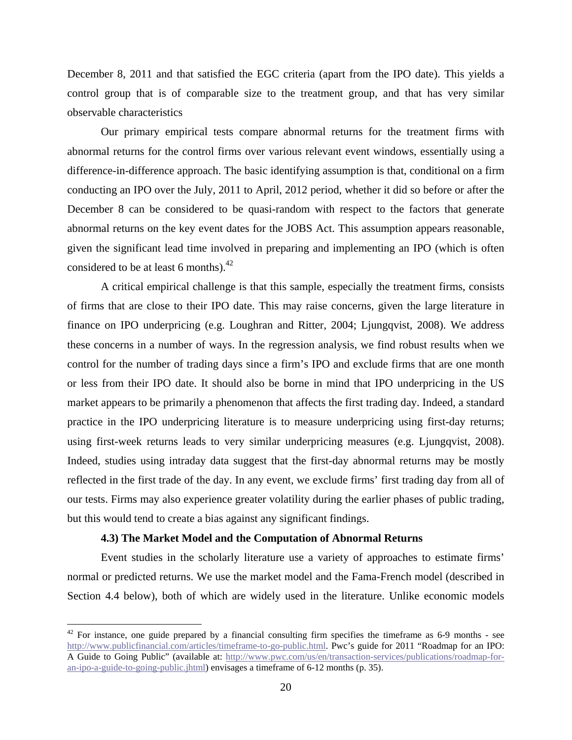December 8, 2011 and that satisfied the EGC criteria (apart from the IPO date). This yields a control group that is of comparable size to the treatment group, and that has very similar observable characteristics

Our primary empirical tests compare abnormal returns for the treatment firms with abnormal returns for the control firms over various relevant event windows, essentially using a difference-in-difference approach. The basic identifying assumption is that, conditional on a firm conducting an IPO over the July, 2011 to April, 2012 period, whether it did so before or after the December 8 can be considered to be quasi-random with respect to the factors that generate abnormal returns on the key event dates for the JOBS Act. This assumption appears reasonable, given the significant lead time involved in preparing and implementing an IPO (which is often considered to be at least 6 months). $^{42}$ 

A critical empirical challenge is that this sample, especially the treatment firms, consists of firms that are close to their IPO date. This may raise concerns, given the large literature in finance on IPO underpricing (e.g. Loughran and Ritter, 2004; Ljungqvist, 2008). We address these concerns in a number of ways. In the regression analysis, we find robust results when we control for the number of trading days since a firm's IPO and exclude firms that are one month or less from their IPO date. It should also be borne in mind that IPO underpricing in the US market appears to be primarily a phenomenon that affects the first trading day. Indeed, a standard practice in the IPO underpricing literature is to measure underpricing using first-day returns; using first-week returns leads to very similar underpricing measures (e.g. Ljungqvist, 2008). Indeed, studies using intraday data suggest that the first-day abnormal returns may be mostly reflected in the first trade of the day. In any event, we exclude firms' first trading day from all of our tests. Firms may also experience greater volatility during the earlier phases of public trading, but this would tend to create a bias against any significant findings.

#### **4.3) The Market Model and the Computation of Abnormal Returns**

<u>.</u>

Event studies in the scholarly literature use a variety of approaches to estimate firms' normal or predicted returns. We use the market model and the Fama-French model (described in Section 4.4 below), both of which are widely used in the literature. Unlike economic models

 $42$  For instance, one guide prepared by a financial consulting firm specifies the timeframe as 6-9 months - see http://www.publicfinancial.com/articles/timeframe-to-go-public.html. Pwc's guide for 2011 "Roadmap for an IPO: A Guide to Going Public" (available at: http://www.pwc.com/us/en/transaction-services/publications/roadmap-foran-ipo-a-guide-to-going-public.jhtml) envisages a timeframe of 6-12 months (p. 35).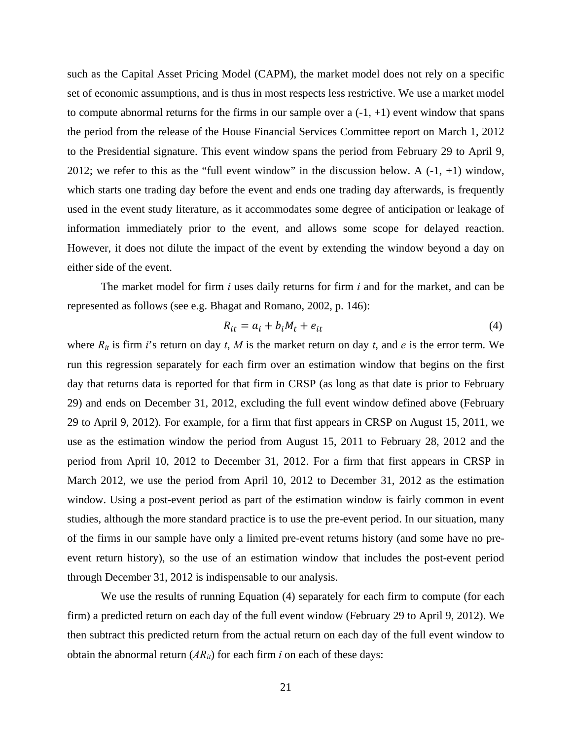such as the Capital Asset Pricing Model (CAPM), the market model does not rely on a specific set of economic assumptions, and is thus in most respects less restrictive. We use a market model to compute abnormal returns for the firms in our sample over  $a(-1, +1)$  event window that spans the period from the release of the House Financial Services Committee report on March 1, 2012 to the Presidential signature. This event window spans the period from February 29 to April 9, 2012; we refer to this as the "full event window" in the discussion below. A  $(-1, +1)$  window, which starts one trading day before the event and ends one trading day afterwards, is frequently used in the event study literature, as it accommodates some degree of anticipation or leakage of information immediately prior to the event, and allows some scope for delayed reaction. However, it does not dilute the impact of the event by extending the window beyond a day on either side of the event.

The market model for firm *i* uses daily returns for firm *i* and for the market, and can be represented as follows (see e.g. Bhagat and Romano, 2002, p. 146):

$$
R_{it} = a_i + b_i M_t + e_{it} \tag{4}
$$

where  $R_{it}$  is firm *i*'s return on day *t*, *M* is the market return on day *t*, and *e* is the error term. We run this regression separately for each firm over an estimation window that begins on the first day that returns data is reported for that firm in CRSP (as long as that date is prior to February 29) and ends on December 31, 2012, excluding the full event window defined above (February 29 to April 9, 2012). For example, for a firm that first appears in CRSP on August 15, 2011, we use as the estimation window the period from August 15, 2011 to February 28, 2012 and the period from April 10, 2012 to December 31, 2012. For a firm that first appears in CRSP in March 2012, we use the period from April 10, 2012 to December 31, 2012 as the estimation window. Using a post-event period as part of the estimation window is fairly common in event studies, although the more standard practice is to use the pre-event period. In our situation, many of the firms in our sample have only a limited pre-event returns history (and some have no preevent return history), so the use of an estimation window that includes the post-event period through December 31, 2012 is indispensable to our analysis.

We use the results of running Equation (4) separately for each firm to compute (for each firm) a predicted return on each day of the full event window (February 29 to April 9, 2012). We then subtract this predicted return from the actual return on each day of the full event window to obtain the abnormal return  $(AR_{it})$  for each firm *i* on each of these days: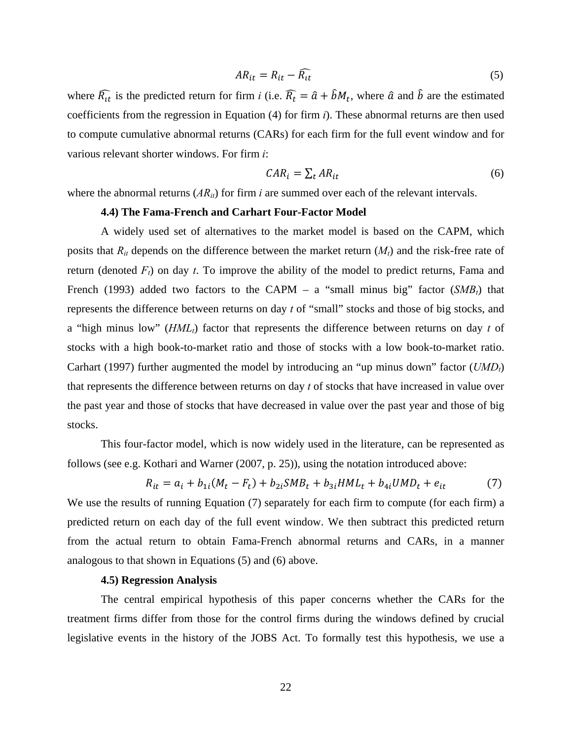$$
AR_{it} = R_{it} - \widehat{R_{it}}
$$
 (5)

where  $\widehat{R}_{tt}$  is the predicted return for firm *i* (i.e.  $\widehat{R}_t = \widehat{a} + \widehat{b}M_t$ , where  $\widehat{a}$  and  $\widehat{b}$  are the estimated coefficients from the regression in Equation (4) for firm *i*). These abnormal returns are then used to compute cumulative abnormal returns (CARs) for each firm for the full event window and for various relevant shorter windows. For firm *i*:

$$
CAR_i = \sum_t AR_{it} \tag{6}
$$

where the abnormal returns  $(AR_{ii})$  for firm *i* are summed over each of the relevant intervals.

#### **4.4) The Fama-French and Carhart Four-Factor Model**

A widely used set of alternatives to the market model is based on the CAPM, which posits that  $R_{it}$  depends on the difference between the market return  $(M_t)$  and the risk-free rate of return (denoted  $F_t$ ) on day *t*. To improve the ability of the model to predict returns, Fama and French (1993) added two factors to the CAPM – a "small minus big" factor  $(SMB_t)$  that represents the difference between returns on day *t* of "small" stocks and those of big stocks, and a "high minus low" (*HMLt*) factor that represents the difference between returns on day *t* of stocks with a high book-to-market ratio and those of stocks with a low book-to-market ratio. Carhart (1997) further augmented the model by introducing an "up minus down" factor (*UMDt*) that represents the difference between returns on day *t* of stocks that have increased in value over the past year and those of stocks that have decreased in value over the past year and those of big stocks.

This four-factor model, which is now widely used in the literature, can be represented as follows (see e.g. Kothari and Warner (2007, p. 25)), using the notation introduced above:

$$
R_{it} = a_i + b_{1i}(M_t - F_t) + b_{2i}SMB_t + b_{3i}HML_t + b_{4i}UMD_t + e_{it}
$$
(7)

We use the results of running Equation (7) separately for each firm to compute (for each firm) a predicted return on each day of the full event window. We then subtract this predicted return from the actual return to obtain Fama-French abnormal returns and CARs, in a manner analogous to that shown in Equations (5) and (6) above.

## **4.5) Regression Analysis**

The central empirical hypothesis of this paper concerns whether the CARs for the treatment firms differ from those for the control firms during the windows defined by crucial legislative events in the history of the JOBS Act. To formally test this hypothesis, we use a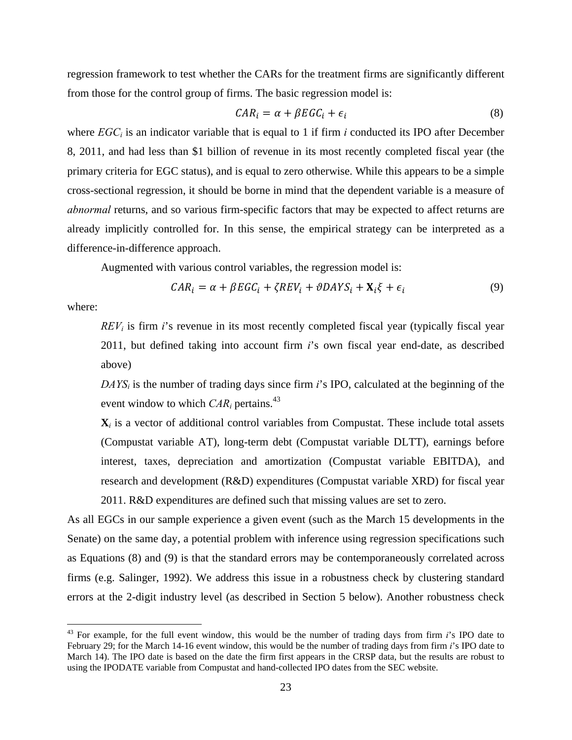regression framework to test whether the CARs for the treatment firms are significantly different from those for the control group of firms. The basic regression model is:

$$
CAR_i = \alpha + \beta EGC_i + \epsilon_i \tag{8}
$$

where  $EGC_i$  is an indicator variable that is equal to 1 if firm *i* conducted its IPO after December 8, 2011, and had less than \$1 billion of revenue in its most recently completed fiscal year (the primary criteria for EGC status), and is equal to zero otherwise. While this appears to be a simple cross-sectional regression, it should be borne in mind that the dependent variable is a measure of *abnormal* returns, and so various firm-specific factors that may be expected to affect returns are already implicitly controlled for. In this sense, the empirical strategy can be interpreted as a difference-in-difference approach.

Augmented with various control variables, the regression model is:

$$
CAR_i = \alpha + \beta EGC_i + \zeta REV_i + \vartheta DAYS_i + \mathbf{X}_i \xi + \epsilon_i \tag{9}
$$

where:

 $\overline{a}$ 

*REV<sub>i</sub>* is firm *i*'s revenue in its most recently completed fiscal year (typically fiscal year 2011, but defined taking into account firm *i*'s own fiscal year end-date, as described above)

*DAYSi* is the number of trading days since firm *i*'s IPO, calculated at the beginning of the event window to which  $CAR_i$  pertains.<sup>43</sup>

 $\mathbf{X}_i$  is a vector of additional control variables from Compustat. These include total assets (Compustat variable AT), long-term debt (Compustat variable DLTT), earnings before interest, taxes, depreciation and amortization (Compustat variable EBITDA), and research and development (R&D) expenditures (Compustat variable XRD) for fiscal year

2011. R&D expenditures are defined such that missing values are set to zero.

As all EGCs in our sample experience a given event (such as the March 15 developments in the Senate) on the same day, a potential problem with inference using regression specifications such as Equations (8) and (9) is that the standard errors may be contemporaneously correlated across firms (e.g. Salinger, 1992). We address this issue in a robustness check by clustering standard errors at the 2-digit industry level (as described in Section 5 below). Another robustness check

<sup>43</sup> For example, for the full event window, this would be the number of trading days from firm *i*'s IPO date to February 29; for the March 14-16 event window, this would be the number of trading days from firm *i*'s IPO date to March 14). The IPO date is based on the date the firm first appears in the CRSP data, but the results are robust to using the IPODATE variable from Compustat and hand-collected IPO dates from the SEC website.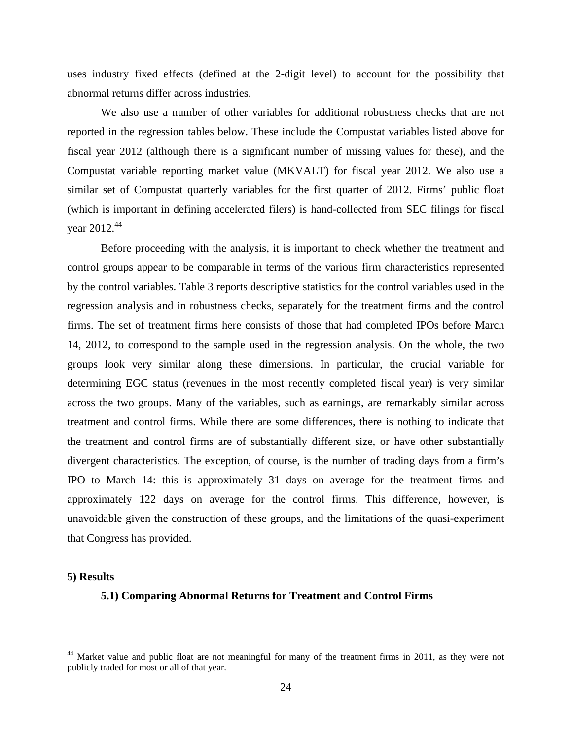uses industry fixed effects (defined at the 2-digit level) to account for the possibility that abnormal returns differ across industries.

We also use a number of other variables for additional robustness checks that are not reported in the regression tables below. These include the Compustat variables listed above for fiscal year 2012 (although there is a significant number of missing values for these), and the Compustat variable reporting market value (MKVALT) for fiscal year 2012. We also use a similar set of Compustat quarterly variables for the first quarter of 2012. Firms' public float (which is important in defining accelerated filers) is hand-collected from SEC filings for fiscal year 2012.<sup>44</sup>

 Before proceeding with the analysis, it is important to check whether the treatment and control groups appear to be comparable in terms of the various firm characteristics represented by the control variables. Table 3 reports descriptive statistics for the control variables used in the regression analysis and in robustness checks, separately for the treatment firms and the control firms. The set of treatment firms here consists of those that had completed IPOs before March 14, 2012, to correspond to the sample used in the regression analysis. On the whole, the two groups look very similar along these dimensions. In particular, the crucial variable for determining EGC status (revenues in the most recently completed fiscal year) is very similar across the two groups. Many of the variables, such as earnings, are remarkably similar across treatment and control firms. While there are some differences, there is nothing to indicate that the treatment and control firms are of substantially different size, or have other substantially divergent characteristics. The exception, of course, is the number of trading days from a firm's IPO to March 14: this is approximately 31 days on average for the treatment firms and approximately 122 days on average for the control firms. This difference, however, is unavoidable given the construction of these groups, and the limitations of the quasi-experiment that Congress has provided.

# **5) Results**

1

# **5.1) Comparing Abnormal Returns for Treatment and Control Firms**

<sup>&</sup>lt;sup>44</sup> Market value and public float are not meaningful for many of the treatment firms in 2011, as they were not publicly traded for most or all of that year.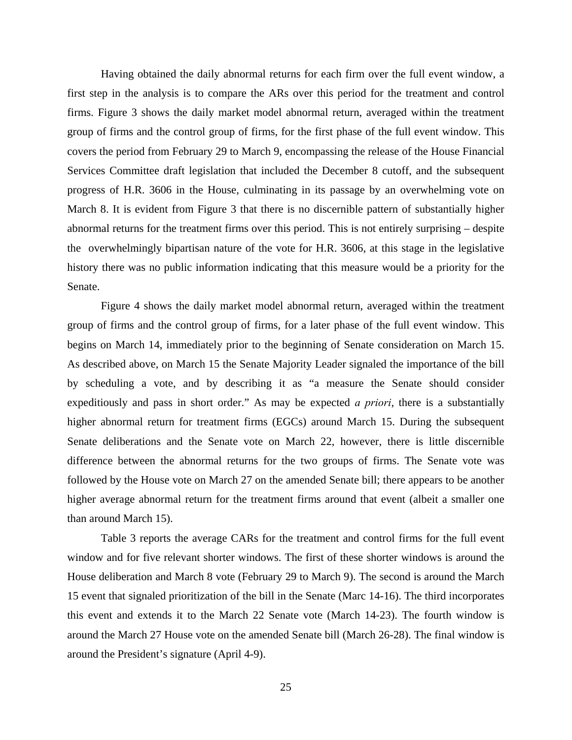Having obtained the daily abnormal returns for each firm over the full event window, a first step in the analysis is to compare the ARs over this period for the treatment and control firms. Figure 3 shows the daily market model abnormal return, averaged within the treatment group of firms and the control group of firms, for the first phase of the full event window. This covers the period from February 29 to March 9, encompassing the release of the House Financial Services Committee draft legislation that included the December 8 cutoff, and the subsequent progress of H.R. 3606 in the House, culminating in its passage by an overwhelming vote on March 8. It is evident from Figure 3 that there is no discernible pattern of substantially higher abnormal returns for the treatment firms over this period. This is not entirely surprising – despite the overwhelmingly bipartisan nature of the vote for H.R. 3606, at this stage in the legislative history there was no public information indicating that this measure would be a priority for the Senate.

 Figure 4 shows the daily market model abnormal return, averaged within the treatment group of firms and the control group of firms, for a later phase of the full event window. This begins on March 14, immediately prior to the beginning of Senate consideration on March 15. As described above, on March 15 the Senate Majority Leader signaled the importance of the bill by scheduling a vote, and by describing it as "a measure the Senate should consider expeditiously and pass in short order." As may be expected *a priori*, there is a substantially higher abnormal return for treatment firms (EGCs) around March 15. During the subsequent Senate deliberations and the Senate vote on March 22, however, there is little discernible difference between the abnormal returns for the two groups of firms. The Senate vote was followed by the House vote on March 27 on the amended Senate bill; there appears to be another higher average abnormal return for the treatment firms around that event (albeit a smaller one than around March 15).

 Table 3 reports the average CARs for the treatment and control firms for the full event window and for five relevant shorter windows. The first of these shorter windows is around the House deliberation and March 8 vote (February 29 to March 9). The second is around the March 15 event that signaled prioritization of the bill in the Senate (Marc 14-16). The third incorporates this event and extends it to the March 22 Senate vote (March 14-23). The fourth window is around the March 27 House vote on the amended Senate bill (March 26-28). The final window is around the President's signature (April 4-9).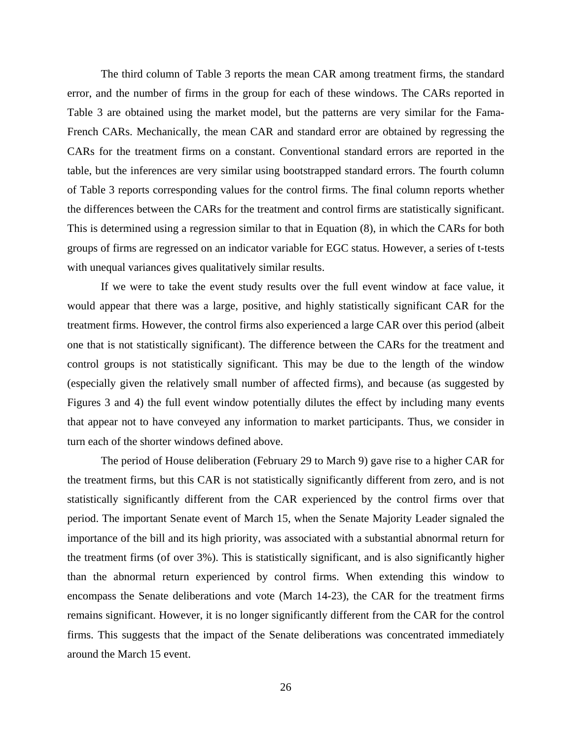The third column of Table 3 reports the mean CAR among treatment firms, the standard error, and the number of firms in the group for each of these windows. The CARs reported in Table 3 are obtained using the market model, but the patterns are very similar for the Fama-French CARs. Mechanically, the mean CAR and standard error are obtained by regressing the CARs for the treatment firms on a constant. Conventional standard errors are reported in the table, but the inferences are very similar using bootstrapped standard errors. The fourth column of Table 3 reports corresponding values for the control firms. The final column reports whether the differences between the CARs for the treatment and control firms are statistically significant. This is determined using a regression similar to that in Equation (8), in which the CARs for both groups of firms are regressed on an indicator variable for EGC status. However, a series of t-tests with unequal variances gives qualitatively similar results.

 If we were to take the event study results over the full event window at face value, it would appear that there was a large, positive, and highly statistically significant CAR for the treatment firms. However, the control firms also experienced a large CAR over this period (albeit one that is not statistically significant). The difference between the CARs for the treatment and control groups is not statistically significant. This may be due to the length of the window (especially given the relatively small number of affected firms), and because (as suggested by Figures 3 and 4) the full event window potentially dilutes the effect by including many events that appear not to have conveyed any information to market participants. Thus, we consider in turn each of the shorter windows defined above.

 The period of House deliberation (February 29 to March 9) gave rise to a higher CAR for the treatment firms, but this CAR is not statistically significantly different from zero, and is not statistically significantly different from the CAR experienced by the control firms over that period. The important Senate event of March 15, when the Senate Majority Leader signaled the importance of the bill and its high priority, was associated with a substantial abnormal return for the treatment firms (of over 3%). This is statistically significant, and is also significantly higher than the abnormal return experienced by control firms. When extending this window to encompass the Senate deliberations and vote (March 14-23), the CAR for the treatment firms remains significant. However, it is no longer significantly different from the CAR for the control firms. This suggests that the impact of the Senate deliberations was concentrated immediately around the March 15 event.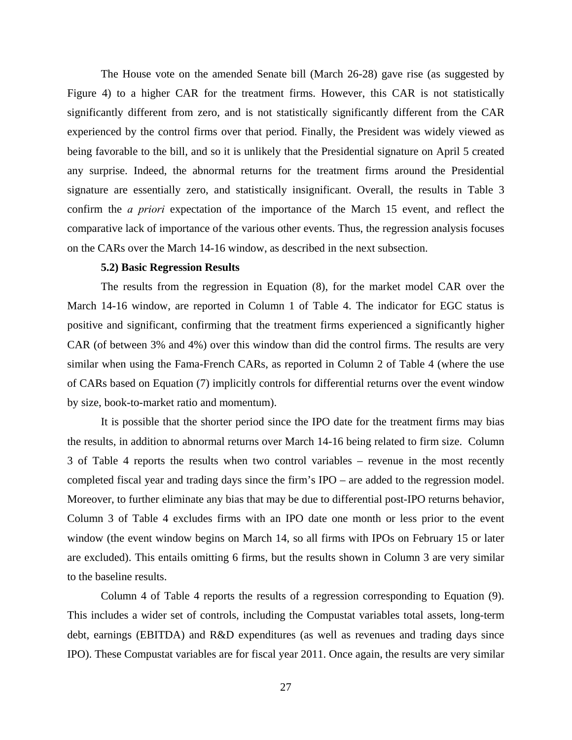The House vote on the amended Senate bill (March 26-28) gave rise (as suggested by Figure 4) to a higher CAR for the treatment firms. However, this CAR is not statistically significantly different from zero, and is not statistically significantly different from the CAR experienced by the control firms over that period. Finally, the President was widely viewed as being favorable to the bill, and so it is unlikely that the Presidential signature on April 5 created any surprise. Indeed, the abnormal returns for the treatment firms around the Presidential signature are essentially zero, and statistically insignificant. Overall, the results in Table 3 confirm the *a priori* expectation of the importance of the March 15 event, and reflect the comparative lack of importance of the various other events. Thus, the regression analysis focuses on the CARs over the March 14-16 window, as described in the next subsection.

# **5.2) Basic Regression Results**

The results from the regression in Equation (8), for the market model CAR over the March 14-16 window, are reported in Column 1 of Table 4. The indicator for EGC status is positive and significant, confirming that the treatment firms experienced a significantly higher CAR (of between 3% and 4%) over this window than did the control firms. The results are very similar when using the Fama-French CARs, as reported in Column 2 of Table 4 (where the use of CARs based on Equation (7) implicitly controls for differential returns over the event window by size, book-to-market ratio and momentum).

 It is possible that the shorter period since the IPO date for the treatment firms may bias the results, in addition to abnormal returns over March 14-16 being related to firm size. Column 3 of Table 4 reports the results when two control variables – revenue in the most recently completed fiscal year and trading days since the firm's IPO – are added to the regression model. Moreover, to further eliminate any bias that may be due to differential post-IPO returns behavior, Column 3 of Table 4 excludes firms with an IPO date one month or less prior to the event window (the event window begins on March 14, so all firms with IPOs on February 15 or later are excluded). This entails omitting 6 firms, but the results shown in Column 3 are very similar to the baseline results.

 Column 4 of Table 4 reports the results of a regression corresponding to Equation (9). This includes a wider set of controls, including the Compustat variables total assets, long-term debt, earnings (EBITDA) and R&D expenditures (as well as revenues and trading days since IPO). These Compustat variables are for fiscal year 2011. Once again, the results are very similar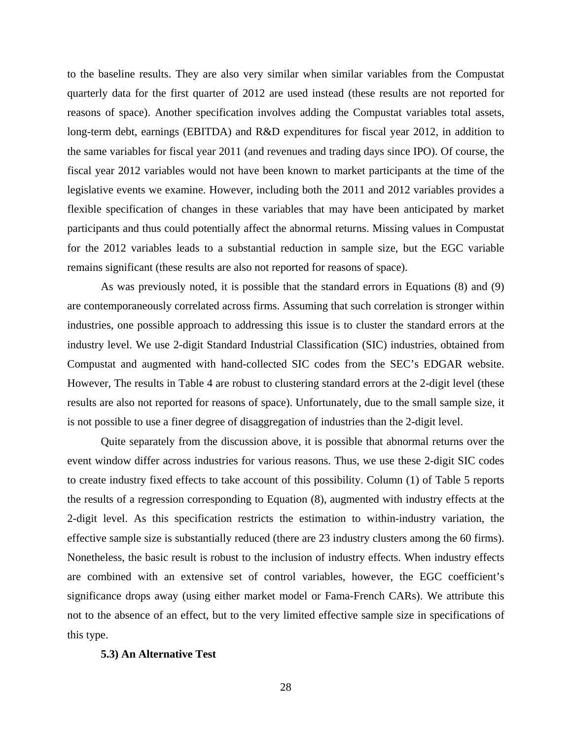to the baseline results. They are also very similar when similar variables from the Compustat quarterly data for the first quarter of 2012 are used instead (these results are not reported for reasons of space). Another specification involves adding the Compustat variables total assets, long-term debt, earnings (EBITDA) and R&D expenditures for fiscal year 2012, in addition to the same variables for fiscal year 2011 (and revenues and trading days since IPO). Of course, the fiscal year 2012 variables would not have been known to market participants at the time of the legislative events we examine. However, including both the 2011 and 2012 variables provides a flexible specification of changes in these variables that may have been anticipated by market participants and thus could potentially affect the abnormal returns. Missing values in Compustat for the 2012 variables leads to a substantial reduction in sample size, but the EGC variable remains significant (these results are also not reported for reasons of space).

 As was previously noted, it is possible that the standard errors in Equations (8) and (9) are contemporaneously correlated across firms. Assuming that such correlation is stronger within industries, one possible approach to addressing this issue is to cluster the standard errors at the industry level. We use 2-digit Standard Industrial Classification (SIC) industries, obtained from Compustat and augmented with hand-collected SIC codes from the SEC's EDGAR website. However, The results in Table 4 are robust to clustering standard errors at the 2-digit level (these results are also not reported for reasons of space). Unfortunately, due to the small sample size, it is not possible to use a finer degree of disaggregation of industries than the 2-digit level.

 Quite separately from the discussion above, it is possible that abnormal returns over the event window differ across industries for various reasons. Thus, we use these 2-digit SIC codes to create industry fixed effects to take account of this possibility. Column (1) of Table 5 reports the results of a regression corresponding to Equation (8), augmented with industry effects at the 2-digit level. As this specification restricts the estimation to within-industry variation, the effective sample size is substantially reduced (there are 23 industry clusters among the 60 firms). Nonetheless, the basic result is robust to the inclusion of industry effects. When industry effects are combined with an extensive set of control variables, however, the EGC coefficient's significance drops away (using either market model or Fama-French CARs). We attribute this not to the absence of an effect, but to the very limited effective sample size in specifications of this type.

#### **5.3) An Alternative Test**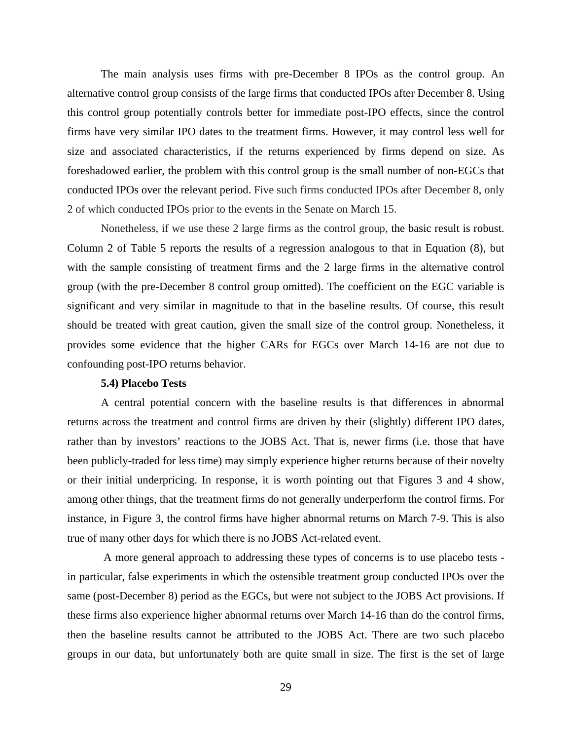The main analysis uses firms with pre-December 8 IPOs as the control group. An alternative control group consists of the large firms that conducted IPOs after December 8. Using this control group potentially controls better for immediate post-IPO effects, since the control firms have very similar IPO dates to the treatment firms. However, it may control less well for size and associated characteristics, if the returns experienced by firms depend on size. As foreshadowed earlier, the problem with this control group is the small number of non-EGCs that conducted IPOs over the relevant period. Five such firms conducted IPOs after December 8, only 2 of which conducted IPOs prior to the events in the Senate on March 15.

Nonetheless, if we use these 2 large firms as the control group, the basic result is robust. Column 2 of Table 5 reports the results of a regression analogous to that in Equation (8), but with the sample consisting of treatment firms and the 2 large firms in the alternative control group (with the pre-December 8 control group omitted). The coefficient on the EGC variable is significant and very similar in magnitude to that in the baseline results. Of course, this result should be treated with great caution, given the small size of the control group. Nonetheless, it provides some evidence that the higher CARs for EGCs over March 14-16 are not due to confounding post-IPO returns behavior.

#### **5.4) Placebo Tests**

A central potential concern with the baseline results is that differences in abnormal returns across the treatment and control firms are driven by their (slightly) different IPO dates, rather than by investors' reactions to the JOBS Act. That is, newer firms (i.e. those that have been publicly-traded for less time) may simply experience higher returns because of their novelty or their initial underpricing. In response, it is worth pointing out that Figures 3 and 4 show, among other things, that the treatment firms do not generally underperform the control firms. For instance, in Figure 3, the control firms have higher abnormal returns on March 7-9. This is also true of many other days for which there is no JOBS Act-related event.

 A more general approach to addressing these types of concerns is to use placebo tests in particular, false experiments in which the ostensible treatment group conducted IPOs over the same (post-December 8) period as the EGCs, but were not subject to the JOBS Act provisions. If these firms also experience higher abnormal returns over March 14-16 than do the control firms, then the baseline results cannot be attributed to the JOBS Act. There are two such placebo groups in our data, but unfortunately both are quite small in size. The first is the set of large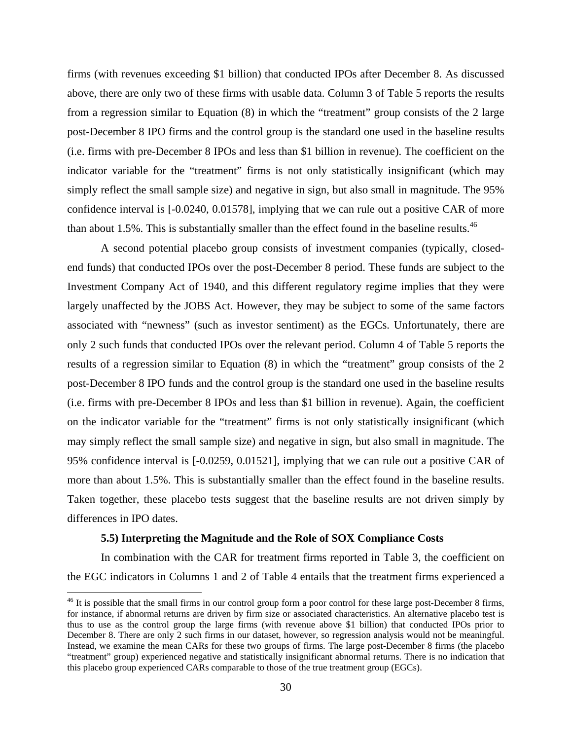firms (with revenues exceeding \$1 billion) that conducted IPOs after December 8. As discussed above, there are only two of these firms with usable data. Column 3 of Table 5 reports the results from a regression similar to Equation (8) in which the "treatment" group consists of the 2 large post-December 8 IPO firms and the control group is the standard one used in the baseline results (i.e. firms with pre-December 8 IPOs and less than \$1 billion in revenue). The coefficient on the indicator variable for the "treatment" firms is not only statistically insignificant (which may simply reflect the small sample size) and negative in sign, but also small in magnitude. The 95% confidence interval is [-0.0240, 0.01578], implying that we can rule out a positive CAR of more than about 1.5%. This is substantially smaller than the effect found in the baseline results. $^{46}$ 

A second potential placebo group consists of investment companies (typically, closedend funds) that conducted IPOs over the post-December 8 period. These funds are subject to the Investment Company Act of 1940, and this different regulatory regime implies that they were largely unaffected by the JOBS Act. However, they may be subject to some of the same factors associated with "newness" (such as investor sentiment) as the EGCs. Unfortunately, there are only 2 such funds that conducted IPOs over the relevant period. Column 4 of Table 5 reports the results of a regression similar to Equation (8) in which the "treatment" group consists of the 2 post-December 8 IPO funds and the control group is the standard one used in the baseline results (i.e. firms with pre-December 8 IPOs and less than \$1 billion in revenue). Again, the coefficient on the indicator variable for the "treatment" firms is not only statistically insignificant (which may simply reflect the small sample size) and negative in sign, but also small in magnitude. The 95% confidence interval is [-0.0259, 0.01521], implying that we can rule out a positive CAR of more than about 1.5%. This is substantially smaller than the effect found in the baseline results. Taken together, these placebo tests suggest that the baseline results are not driven simply by differences in IPO dates.

#### **5.5) Interpreting the Magnitude and the Role of SOX Compliance Costs**

 $\overline{a}$ 

In combination with the CAR for treatment firms reported in Table 3, the coefficient on the EGC indicators in Columns 1 and 2 of Table 4 entails that the treatment firms experienced a

 $46$  It is possible that the small firms in our control group form a poor control for these large post-December 8 firms, for instance, if abnormal returns are driven by firm size or associated characteristics. An alternative placebo test is thus to use as the control group the large firms (with revenue above \$1 billion) that conducted IPOs prior to December 8. There are only 2 such firms in our dataset, however, so regression analysis would not be meaningful. Instead, we examine the mean CARs for these two groups of firms. The large post-December 8 firms (the placebo "treatment" group) experienced negative and statistically insignificant abnormal returns. There is no indication that this placebo group experienced CARs comparable to those of the true treatment group (EGCs).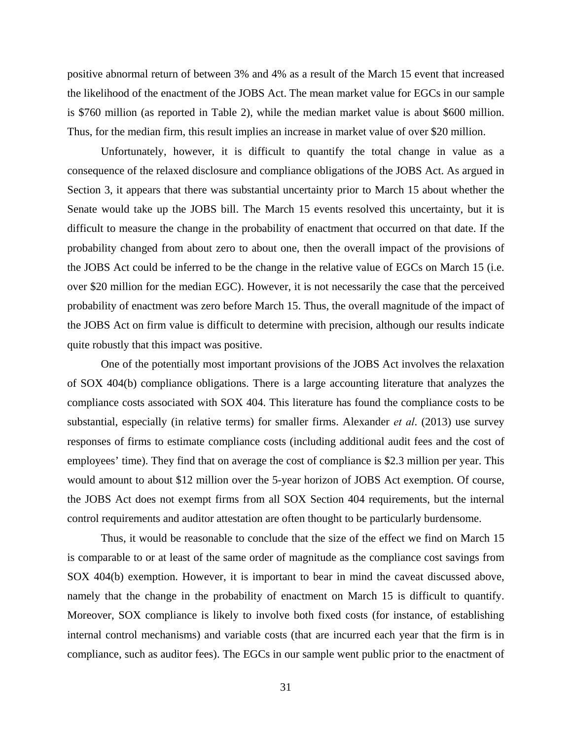positive abnormal return of between 3% and 4% as a result of the March 15 event that increased the likelihood of the enactment of the JOBS Act. The mean market value for EGCs in our sample is \$760 million (as reported in Table 2), while the median market value is about \$600 million. Thus, for the median firm, this result implies an increase in market value of over \$20 million.

Unfortunately, however, it is difficult to quantify the total change in value as a consequence of the relaxed disclosure and compliance obligations of the JOBS Act. As argued in Section 3, it appears that there was substantial uncertainty prior to March 15 about whether the Senate would take up the JOBS bill. The March 15 events resolved this uncertainty, but it is difficult to measure the change in the probability of enactment that occurred on that date. If the probability changed from about zero to about one, then the overall impact of the provisions of the JOBS Act could be inferred to be the change in the relative value of EGCs on March 15 (i.e. over \$20 million for the median EGC). However, it is not necessarily the case that the perceived probability of enactment was zero before March 15. Thus, the overall magnitude of the impact of the JOBS Act on firm value is difficult to determine with precision, although our results indicate quite robustly that this impact was positive.

 One of the potentially most important provisions of the JOBS Act involves the relaxation of SOX 404(b) compliance obligations. There is a large accounting literature that analyzes the compliance costs associated with SOX 404. This literature has found the compliance costs to be substantial, especially (in relative terms) for smaller firms. Alexander *et al*. (2013) use survey responses of firms to estimate compliance costs (including additional audit fees and the cost of employees' time). They find that on average the cost of compliance is \$2.3 million per year. This would amount to about \$12 million over the 5-year horizon of JOBS Act exemption. Of course, the JOBS Act does not exempt firms from all SOX Section 404 requirements, but the internal control requirements and auditor attestation are often thought to be particularly burdensome.

Thus, it would be reasonable to conclude that the size of the effect we find on March 15 is comparable to or at least of the same order of magnitude as the compliance cost savings from SOX 404(b) exemption. However, it is important to bear in mind the caveat discussed above, namely that the change in the probability of enactment on March 15 is difficult to quantify. Moreover, SOX compliance is likely to involve both fixed costs (for instance, of establishing internal control mechanisms) and variable costs (that are incurred each year that the firm is in compliance, such as auditor fees). The EGCs in our sample went public prior to the enactment of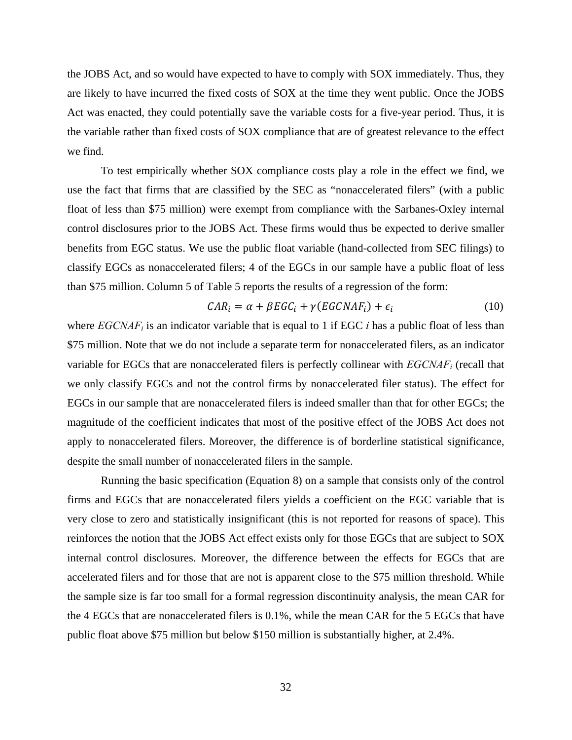the JOBS Act, and so would have expected to have to comply with SOX immediately. Thus, they are likely to have incurred the fixed costs of SOX at the time they went public. Once the JOBS Act was enacted, they could potentially save the variable costs for a five-year period. Thus, it is the variable rather than fixed costs of SOX compliance that are of greatest relevance to the effect we find.

To test empirically whether SOX compliance costs play a role in the effect we find, we use the fact that firms that are classified by the SEC as "nonaccelerated filers" (with a public float of less than \$75 million) were exempt from compliance with the Sarbanes-Oxley internal control disclosures prior to the JOBS Act. These firms would thus be expected to derive smaller benefits from EGC status. We use the public float variable (hand-collected from SEC filings) to classify EGCs as nonaccelerated filers; 4 of the EGCs in our sample have a public float of less than \$75 million. Column 5 of Table 5 reports the results of a regression of the form:

$$
CAR_i = \alpha + \beta EGC_i + \gamma (EGCNAF_i) + \epsilon_i \tag{10}
$$

where  $EGCNAF_i$  is an indicator variable that is equal to 1 if EGC *i* has a public float of less than \$75 million. Note that we do not include a separate term for nonaccelerated filers, as an indicator variable for EGCs that are nonaccelerated filers is perfectly collinear with *EGCNAFi* (recall that we only classify EGCs and not the control firms by nonaccelerated filer status). The effect for EGCs in our sample that are nonaccelerated filers is indeed smaller than that for other EGCs; the magnitude of the coefficient indicates that most of the positive effect of the JOBS Act does not apply to nonaccelerated filers. Moreover, the difference is of borderline statistical significance, despite the small number of nonaccelerated filers in the sample.

 Running the basic specification (Equation 8) on a sample that consists only of the control firms and EGCs that are nonaccelerated filers yields a coefficient on the EGC variable that is very close to zero and statistically insignificant (this is not reported for reasons of space). This reinforces the notion that the JOBS Act effect exists only for those EGCs that are subject to SOX internal control disclosures. Moreover, the difference between the effects for EGCs that are accelerated filers and for those that are not is apparent close to the \$75 million threshold. While the sample size is far too small for a formal regression discontinuity analysis, the mean CAR for the 4 EGCs that are nonaccelerated filers is 0.1%, while the mean CAR for the 5 EGCs that have public float above \$75 million but below \$150 million is substantially higher, at 2.4%.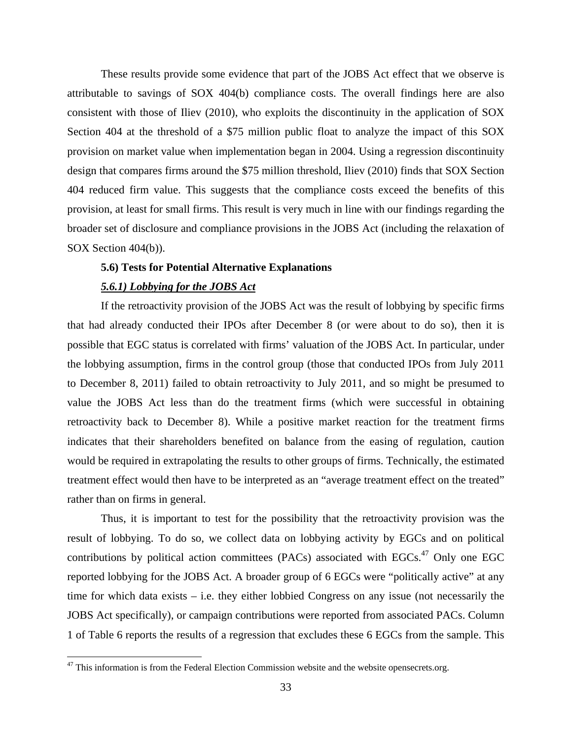These results provide some evidence that part of the JOBS Act effect that we observe is attributable to savings of SOX 404(b) compliance costs. The overall findings here are also consistent with those of Iliev (2010), who exploits the discontinuity in the application of SOX Section 404 at the threshold of a \$75 million public float to analyze the impact of this SOX provision on market value when implementation began in 2004. Using a regression discontinuity design that compares firms around the \$75 million threshold, Iliev (2010) finds that SOX Section 404 reduced firm value. This suggests that the compliance costs exceed the benefits of this provision, at least for small firms. This result is very much in line with our findings regarding the broader set of disclosure and compliance provisions in the JOBS Act (including the relaxation of SOX Section 404(b)).

# **5.6) Tests for Potential Alternative Explanations**

#### *5.6.1) Lobbying for the JOBS Act*

 $\overline{a}$ 

If the retroactivity provision of the JOBS Act was the result of lobbying by specific firms that had already conducted their IPOs after December 8 (or were about to do so), then it is possible that EGC status is correlated with firms' valuation of the JOBS Act. In particular, under the lobbying assumption, firms in the control group (those that conducted IPOs from July 2011 to December 8, 2011) failed to obtain retroactivity to July 2011, and so might be presumed to value the JOBS Act less than do the treatment firms (which were successful in obtaining retroactivity back to December 8). While a positive market reaction for the treatment firms indicates that their shareholders benefited on balance from the easing of regulation, caution would be required in extrapolating the results to other groups of firms. Technically, the estimated treatment effect would then have to be interpreted as an "average treatment effect on the treated" rather than on firms in general.

Thus, it is important to test for the possibility that the retroactivity provision was the result of lobbying. To do so, we collect data on lobbying activity by EGCs and on political contributions by political action committees (PACs) associated with EGCs.<sup>47</sup> Only one EGC reported lobbying for the JOBS Act. A broader group of 6 EGCs were "politically active" at any time for which data exists – i.e. they either lobbied Congress on any issue (not necessarily the JOBS Act specifically), or campaign contributions were reported from associated PACs. Column 1 of Table 6 reports the results of a regression that excludes these 6 EGCs from the sample. This

 $47$  This information is from the Federal Election Commission website and the website opensecrets.org.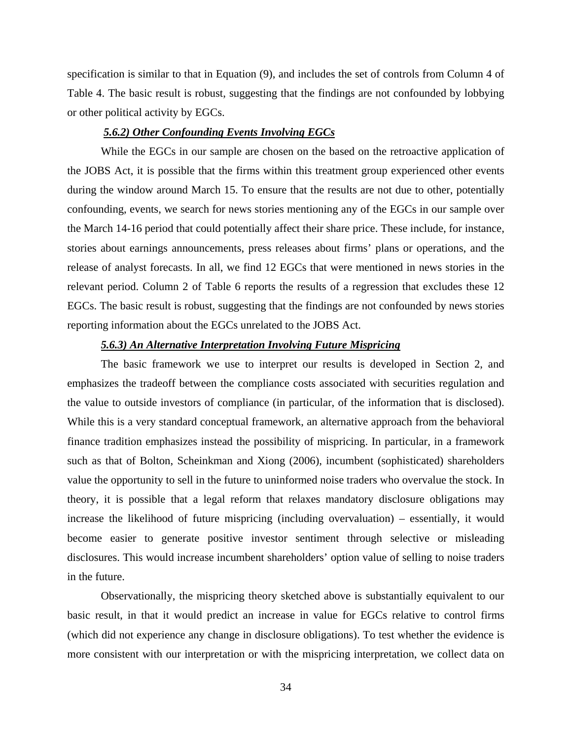specification is similar to that in Equation (9), and includes the set of controls from Column 4 of Table 4. The basic result is robust, suggesting that the findings are not confounded by lobbying or other political activity by EGCs.

# *5.6.2) Other Confounding Events Involving EGCs*

While the EGCs in our sample are chosen on the based on the retroactive application of the JOBS Act, it is possible that the firms within this treatment group experienced other events during the window around March 15. To ensure that the results are not due to other, potentially confounding, events, we search for news stories mentioning any of the EGCs in our sample over the March 14-16 period that could potentially affect their share price. These include, for instance, stories about earnings announcements, press releases about firms' plans or operations, and the release of analyst forecasts. In all, we find 12 EGCs that were mentioned in news stories in the relevant period. Column 2 of Table 6 reports the results of a regression that excludes these 12 EGCs. The basic result is robust, suggesting that the findings are not confounded by news stories reporting information about the EGCs unrelated to the JOBS Act.

# *5.6.3) An Alternative Interpretation Involving Future Mispricing*

The basic framework we use to interpret our results is developed in Section 2, and emphasizes the tradeoff between the compliance costs associated with securities regulation and the value to outside investors of compliance (in particular, of the information that is disclosed). While this is a very standard conceptual framework, an alternative approach from the behavioral finance tradition emphasizes instead the possibility of mispricing. In particular, in a framework such as that of Bolton, Scheinkman and Xiong (2006), incumbent (sophisticated) shareholders value the opportunity to sell in the future to uninformed noise traders who overvalue the stock. In theory, it is possible that a legal reform that relaxes mandatory disclosure obligations may increase the likelihood of future mispricing (including overvaluation) – essentially, it would become easier to generate positive investor sentiment through selective or misleading disclosures. This would increase incumbent shareholders' option value of selling to noise traders in the future.

Observationally, the mispricing theory sketched above is substantially equivalent to our basic result, in that it would predict an increase in value for EGCs relative to control firms (which did not experience any change in disclosure obligations). To test whether the evidence is more consistent with our interpretation or with the mispricing interpretation, we collect data on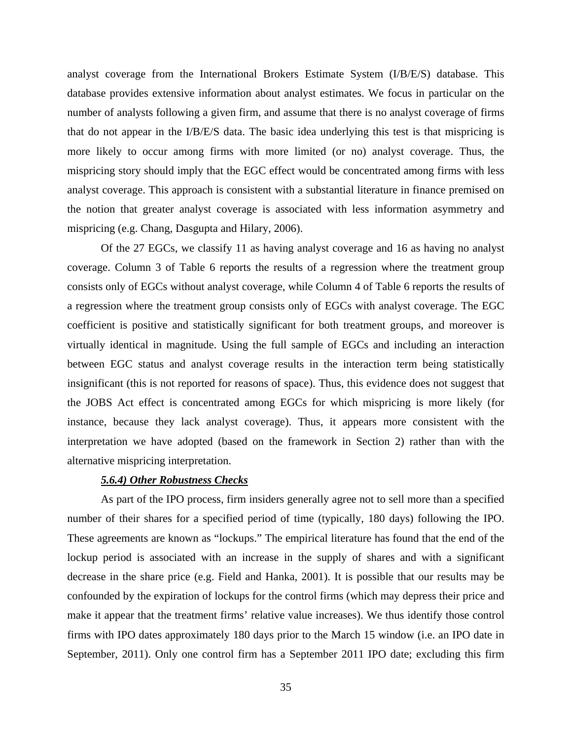analyst coverage from the International Brokers Estimate System (I/B/E/S) database. This database provides extensive information about analyst estimates. We focus in particular on the number of analysts following a given firm, and assume that there is no analyst coverage of firms that do not appear in the I/B/E/S data. The basic idea underlying this test is that mispricing is more likely to occur among firms with more limited (or no) analyst coverage. Thus, the mispricing story should imply that the EGC effect would be concentrated among firms with less analyst coverage. This approach is consistent with a substantial literature in finance premised on the notion that greater analyst coverage is associated with less information asymmetry and mispricing (e.g. Chang, Dasgupta and Hilary, 2006).

Of the 27 EGCs, we classify 11 as having analyst coverage and 16 as having no analyst coverage. Column 3 of Table 6 reports the results of a regression where the treatment group consists only of EGCs without analyst coverage, while Column 4 of Table 6 reports the results of a regression where the treatment group consists only of EGCs with analyst coverage. The EGC coefficient is positive and statistically significant for both treatment groups, and moreover is virtually identical in magnitude. Using the full sample of EGCs and including an interaction between EGC status and analyst coverage results in the interaction term being statistically insignificant (this is not reported for reasons of space). Thus, this evidence does not suggest that the JOBS Act effect is concentrated among EGCs for which mispricing is more likely (for instance, because they lack analyst coverage). Thus, it appears more consistent with the interpretation we have adopted (based on the framework in Section 2) rather than with the alternative mispricing interpretation.

# *5.6.4) Other Robustness Checks*

As part of the IPO process, firm insiders generally agree not to sell more than a specified number of their shares for a specified period of time (typically, 180 days) following the IPO. These agreements are known as "lockups." The empirical literature has found that the end of the lockup period is associated with an increase in the supply of shares and with a significant decrease in the share price (e.g. Field and Hanka, 2001). It is possible that our results may be confounded by the expiration of lockups for the control firms (which may depress their price and make it appear that the treatment firms' relative value increases). We thus identify those control firms with IPO dates approximately 180 days prior to the March 15 window (i.e. an IPO date in September, 2011). Only one control firm has a September 2011 IPO date; excluding this firm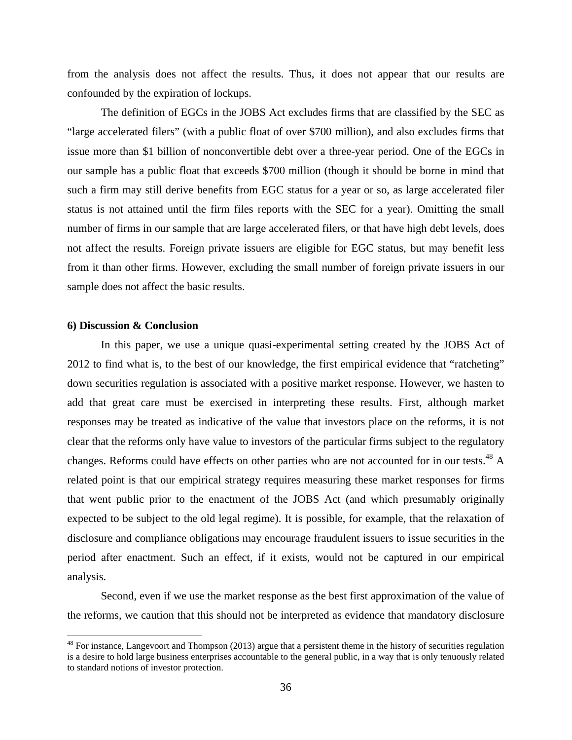from the analysis does not affect the results. Thus, it does not appear that our results are confounded by the expiration of lockups.

The definition of EGCs in the JOBS Act excludes firms that are classified by the SEC as "large accelerated filers" (with a public float of over \$700 million), and also excludes firms that issue more than \$1 billion of nonconvertible debt over a three-year period. One of the EGCs in our sample has a public float that exceeds \$700 million (though it should be borne in mind that such a firm may still derive benefits from EGC status for a year or so, as large accelerated filer status is not attained until the firm files reports with the SEC for a year). Omitting the small number of firms in our sample that are large accelerated filers, or that have high debt levels, does not affect the results. Foreign private issuers are eligible for EGC status, but may benefit less from it than other firms. However, excluding the small number of foreign private issuers in our sample does not affect the basic results.

# **6) Discussion & Conclusion**

1

In this paper, we use a unique quasi-experimental setting created by the JOBS Act of 2012 to find what is, to the best of our knowledge, the first empirical evidence that "ratcheting" down securities regulation is associated with a positive market response. However, we hasten to add that great care must be exercised in interpreting these results. First, although market responses may be treated as indicative of the value that investors place on the reforms, it is not clear that the reforms only have value to investors of the particular firms subject to the regulatory changes. Reforms could have effects on other parties who are not accounted for in our tests.<sup>48</sup> A related point is that our empirical strategy requires measuring these market responses for firms that went public prior to the enactment of the JOBS Act (and which presumably originally expected to be subject to the old legal regime). It is possible, for example, that the relaxation of disclosure and compliance obligations may encourage fraudulent issuers to issue securities in the period after enactment. Such an effect, if it exists, would not be captured in our empirical analysis.

Second, even if we use the market response as the best first approximation of the value of the reforms, we caution that this should not be interpreted as evidence that mandatory disclosure

 $48$  For instance, Langevoort and Thompson (2013) argue that a persistent theme in the history of securities regulation is a desire to hold large business enterprises accountable to the general public, in a way that is only tenuously related to standard notions of investor protection.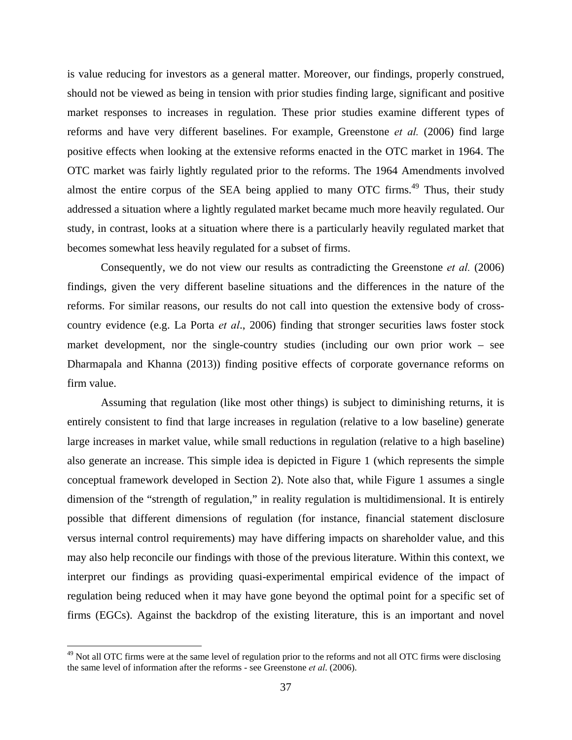is value reducing for investors as a general matter. Moreover, our findings, properly construed, should not be viewed as being in tension with prior studies finding large, significant and positive market responses to increases in regulation. These prior studies examine different types of reforms and have very different baselines. For example, Greenstone *et al.* (2006) find large positive effects when looking at the extensive reforms enacted in the OTC market in 1964. The OTC market was fairly lightly regulated prior to the reforms. The 1964 Amendments involved almost the entire corpus of the SEA being applied to many OTC firms.<sup>49</sup> Thus, their study addressed a situation where a lightly regulated market became much more heavily regulated. Our study, in contrast, looks at a situation where there is a particularly heavily regulated market that becomes somewhat less heavily regulated for a subset of firms.

Consequently, we do not view our results as contradicting the Greenstone *et al.* (2006) findings, given the very different baseline situations and the differences in the nature of the reforms. For similar reasons, our results do not call into question the extensive body of crosscountry evidence (e.g. La Porta *et al*., 2006) finding that stronger securities laws foster stock market development, nor the single-country studies (including our own prior work – see Dharmapala and Khanna (2013)) finding positive effects of corporate governance reforms on firm value.

Assuming that regulation (like most other things) is subject to diminishing returns, it is entirely consistent to find that large increases in regulation (relative to a low baseline) generate large increases in market value, while small reductions in regulation (relative to a high baseline) also generate an increase. This simple idea is depicted in Figure 1 (which represents the simple conceptual framework developed in Section 2). Note also that, while Figure 1 assumes a single dimension of the "strength of regulation," in reality regulation is multidimensional. It is entirely possible that different dimensions of regulation (for instance, financial statement disclosure versus internal control requirements) may have differing impacts on shareholder value, and this may also help reconcile our findings with those of the previous literature. Within this context, we interpret our findings as providing quasi-experimental empirical evidence of the impact of regulation being reduced when it may have gone beyond the optimal point for a specific set of firms (EGCs). Against the backdrop of the existing literature, this is an important and novel

1

<sup>&</sup>lt;sup>49</sup> Not all OTC firms were at the same level of regulation prior to the reforms and not all OTC firms were disclosing the same level of information after the reforms - see Greenstone *et al*. (2006).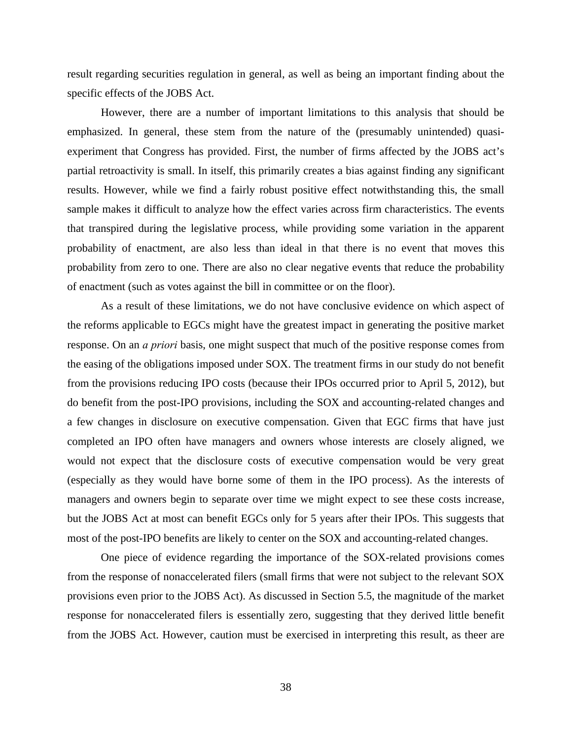result regarding securities regulation in general, as well as being an important finding about the specific effects of the JOBS Act.

 However, there are a number of important limitations to this analysis that should be emphasized. In general, these stem from the nature of the (presumably unintended) quasiexperiment that Congress has provided. First, the number of firms affected by the JOBS act's partial retroactivity is small. In itself, this primarily creates a bias against finding any significant results. However, while we find a fairly robust positive effect notwithstanding this, the small sample makes it difficult to analyze how the effect varies across firm characteristics. The events that transpired during the legislative process, while providing some variation in the apparent probability of enactment, are also less than ideal in that there is no event that moves this probability from zero to one. There are also no clear negative events that reduce the probability of enactment (such as votes against the bill in committee or on the floor).

As a result of these limitations, we do not have conclusive evidence on which aspect of the reforms applicable to EGCs might have the greatest impact in generating the positive market response. On an *a priori* basis, one might suspect that much of the positive response comes from the easing of the obligations imposed under SOX. The treatment firms in our study do not benefit from the provisions reducing IPO costs (because their IPOs occurred prior to April 5, 2012), but do benefit from the post-IPO provisions, including the SOX and accounting-related changes and a few changes in disclosure on executive compensation. Given that EGC firms that have just completed an IPO often have managers and owners whose interests are closely aligned, we would not expect that the disclosure costs of executive compensation would be very great (especially as they would have borne some of them in the IPO process). As the interests of managers and owners begin to separate over time we might expect to see these costs increase, but the JOBS Act at most can benefit EGCs only for 5 years after their IPOs. This suggests that most of the post-IPO benefits are likely to center on the SOX and accounting-related changes.

 One piece of evidence regarding the importance of the SOX-related provisions comes from the response of nonaccelerated filers (small firms that were not subject to the relevant SOX provisions even prior to the JOBS Act). As discussed in Section 5.5, the magnitude of the market response for nonaccelerated filers is essentially zero, suggesting that they derived little benefit from the JOBS Act. However, caution must be exercised in interpreting this result, as theer are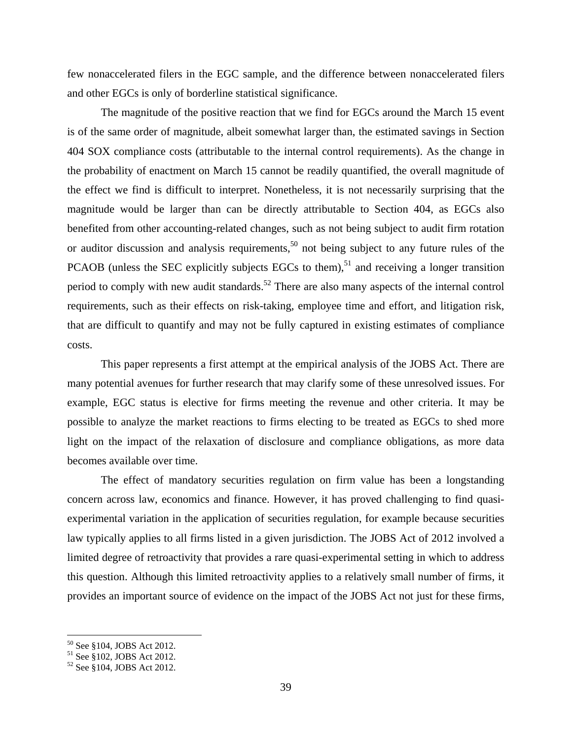few nonaccelerated filers in the EGC sample, and the difference between nonaccelerated filers and other EGCs is only of borderline statistical significance.

The magnitude of the positive reaction that we find for EGCs around the March 15 event is of the same order of magnitude, albeit somewhat larger than, the estimated savings in Section 404 SOX compliance costs (attributable to the internal control requirements). As the change in the probability of enactment on March 15 cannot be readily quantified, the overall magnitude of the effect we find is difficult to interpret. Nonetheless, it is not necessarily surprising that the magnitude would be larger than can be directly attributable to Section 404, as EGCs also benefited from other accounting-related changes, such as not being subject to audit firm rotation or auditor discussion and analysis requirements,<sup>50</sup> not being subject to any future rules of the PCAOB (unless the SEC explicitly subjects EGCs to them),<sup>51</sup> and receiving a longer transition period to comply with new audit standards.<sup>52</sup> There are also many aspects of the internal control requirements, such as their effects on risk-taking, employee time and effort, and litigation risk, that are difficult to quantify and may not be fully captured in existing estimates of compliance costs.

This paper represents a first attempt at the empirical analysis of the JOBS Act. There are many potential avenues for further research that may clarify some of these unresolved issues. For example, EGC status is elective for firms meeting the revenue and other criteria. It may be possible to analyze the market reactions to firms electing to be treated as EGCs to shed more light on the impact of the relaxation of disclosure and compliance obligations, as more data becomes available over time.

The effect of mandatory securities regulation on firm value has been a longstanding concern across law, economics and finance. However, it has proved challenging to find quasiexperimental variation in the application of securities regulation, for example because securities law typically applies to all firms listed in a given jurisdiction. The JOBS Act of 2012 involved a limited degree of retroactivity that provides a rare quasi-experimental setting in which to address this question. Although this limited retroactivity applies to a relatively small number of firms, it provides an important source of evidence on the impact of the JOBS Act not just for these firms,

<sup>50</sup> See §104, JOBS Act 2012.

<sup>51</sup> See §102, JOBS Act 2012.

<sup>52</sup> See §104, JOBS Act 2012.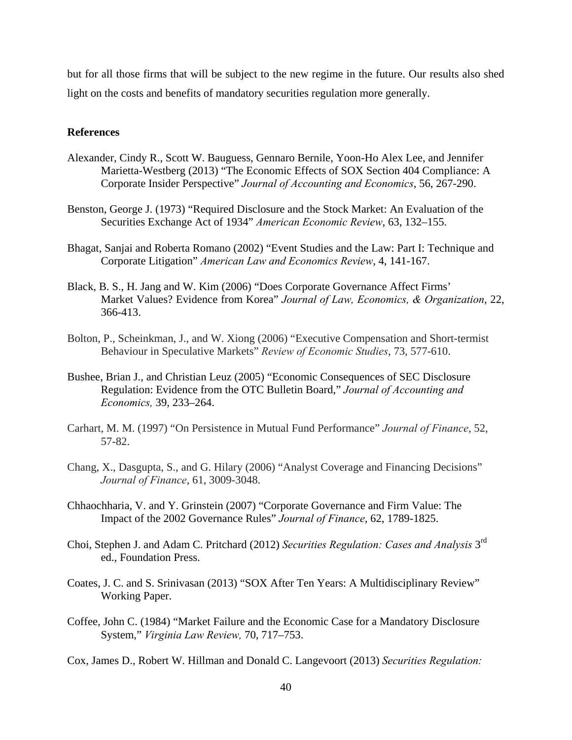but for all those firms that will be subject to the new regime in the future. Our results also shed light on the costs and benefits of mandatory securities regulation more generally.

# **References**

- Alexander, Cindy R., Scott W. Bauguess, Gennaro Bernile, Yoon-Ho Alex Lee, and Jennifer Marietta-Westberg (2013) "The Economic Effects of SOX Section 404 Compliance: A Corporate Insider Perspective" *Journal of Accounting and Economics*, 56, 267-290.
- Benston, George J. (1973) "Required Disclosure and the Stock Market: An Evaluation of the Securities Exchange Act of 1934" *American Economic Review*, 63, 132–155.
- Bhagat, Sanjai and Roberta Romano (2002) "Event Studies and the Law: Part I: Technique and Corporate Litigation" *American Law and Economics Review*, 4, 141-167.
- Black, B. S., H. Jang and W. Kim (2006) "Does Corporate Governance Affect Firms' Market Values? Evidence from Korea" *Journal of Law, Economics, & Organization*, 22, 366-413.
- Bolton, P., Scheinkman, J., and W. Xiong (2006) "Executive Compensation and Short-termist Behaviour in Speculative Markets" *Review of Economic Studies*, 73, 577-610.
- Bushee, Brian J., and Christian Leuz (2005) "Economic Consequences of SEC Disclosure Regulation: Evidence from the OTC Bulletin Board," *Journal of Accounting and Economics,* 39, 233–264.
- Carhart, M. M. (1997) "On Persistence in Mutual Fund Performance" *Journal of Finance*, 52, 57-82.
- Chang, X., Dasgupta, S., and G. Hilary (2006) "Analyst Coverage and Financing Decisions" *Journal of Finance*, 61, 3009-3048.
- Chhaochharia, V. and Y. Grinstein (2007) "Corporate Governance and Firm Value: The Impact of the 2002 Governance Rules" *Journal of Finance*, 62, 1789-1825.
- Choi, Stephen J. and Adam C. Pritchard (2012) *Securities Regulation: Cases and Analysis* 3rd ed., Foundation Press.
- Coates, J. C. and S. Srinivasan (2013) "SOX After Ten Years: A Multidisciplinary Review" Working Paper.
- Coffee, John C. (1984) "Market Failure and the Economic Case for a Mandatory Disclosure System," *Virginia Law Review,* 70, 717–753.

Cox, James D., Robert W. Hillman and Donald C. Langevoort (2013) *Securities Regulation:*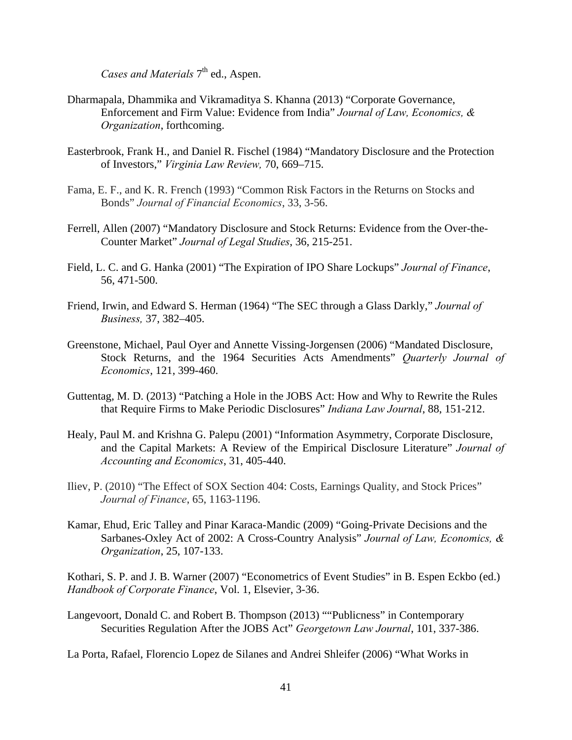*Cases and Materials* 7<sup>th</sup> ed., Aspen.

- Dharmapala, Dhammika and Vikramaditya S. Khanna (2013) "Corporate Governance, Enforcement and Firm Value: Evidence from India" *Journal of Law, Economics, & Organization*, forthcoming.
- Easterbrook, Frank H., and Daniel R. Fischel (1984) "Mandatory Disclosure and the Protection of Investors," *Virginia Law Review,* 70, 669–715.
- Fama, E. F., and K. R. French (1993) "Common Risk Factors in the Returns on Stocks and Bonds" *Journal of Financial Economics*, 33, 3-56.
- Ferrell, Allen (2007) "Mandatory Disclosure and Stock Returns: Evidence from the Over-the-Counter Market" *Journal of Legal Studies*, 36, 215-251.
- Field, L. C. and G. Hanka (2001) "The Expiration of IPO Share Lockups" *Journal of Finance*, 56, 471-500.
- Friend, Irwin, and Edward S. Herman (1964) "The SEC through a Glass Darkly," *Journal of Business,* 37, 382–405.
- Greenstone, Michael, Paul Oyer and Annette Vissing-Jorgensen (2006) "Mandated Disclosure, Stock Returns, and the 1964 Securities Acts Amendments" *Quarterly Journal of Economics*, 121, 399-460.
- Guttentag, M. D. (2013) "Patching a Hole in the JOBS Act: How and Why to Rewrite the Rules that Require Firms to Make Periodic Disclosures" *Indiana Law Journal*, 88, 151-212.
- Healy, Paul M. and Krishna G. Palepu (2001) "Information Asymmetry, Corporate Disclosure, and the Capital Markets: A Review of the Empirical Disclosure Literature" *Journal of Accounting and Economics*, 31, 405-440.
- Iliev, P. (2010) "The Effect of SOX Section 404: Costs, Earnings Quality, and Stock Prices" *Journal of Finance*, 65, 1163-1196.
- Kamar, Ehud, Eric Talley and Pinar Karaca-Mandic (2009) "Going-Private Decisions and the Sarbanes-Oxley Act of 2002: A Cross-Country Analysis" *Journal of Law, Economics, & Organization*, 25, 107-133.

Kothari, S. P. and J. B. Warner (2007) "Econometrics of Event Studies" in B. Espen Eckbo (ed.) *Handbook of Corporate Finance*, Vol. 1, Elsevier, 3-36.

Langevoort, Donald C. and Robert B. Thompson (2013) ""Publicness" in Contemporary Securities Regulation After the JOBS Act" *Georgetown Law Journal*, 101, 337-386.

La Porta, Rafael, Florencio Lopez de Silanes and Andrei Shleifer (2006) "What Works in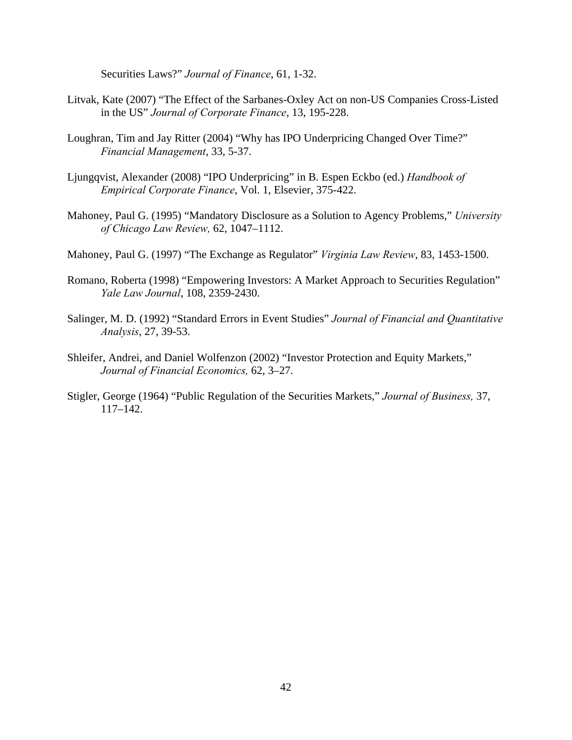Securities Laws?" *Journal of Finance*, 61, 1-32.

- Litvak, Kate (2007) "The Effect of the Sarbanes-Oxley Act on non-US Companies Cross-Listed in the US" *Journal of Corporate Finance*, 13, 195-228.
- Loughran, Tim and Jay Ritter (2004) "Why has IPO Underpricing Changed Over Time?" *Financial Management*, 33, 5-37.
- Ljungqvist, Alexander (2008) "IPO Underpricing" in B. Espen Eckbo (ed.) *Handbook of Empirical Corporate Finance*, Vol. 1, Elsevier, 375-422.
- Mahoney, Paul G. (1995) "Mandatory Disclosure as a Solution to Agency Problems," *University of Chicago Law Review,* 62, 1047–1112.
- Mahoney, Paul G. (1997) "The Exchange as Regulator" *Virginia Law Review*, 83, 1453-1500.
- Romano, Roberta (1998) "Empowering Investors: A Market Approach to Securities Regulation" *Yale Law Journal*, 108, 2359-2430.
- Salinger, M. D. (1992) "Standard Errors in Event Studies" *Journal of Financial and Quantitative Analysis*, 27, 39-53.
- Shleifer, Andrei, and Daniel Wolfenzon (2002) "Investor Protection and Equity Markets," *Journal of Financial Economics,* 62, 3–27.
- Stigler, George (1964) "Public Regulation of the Securities Markets," *Journal of Business,* 37, 117–142.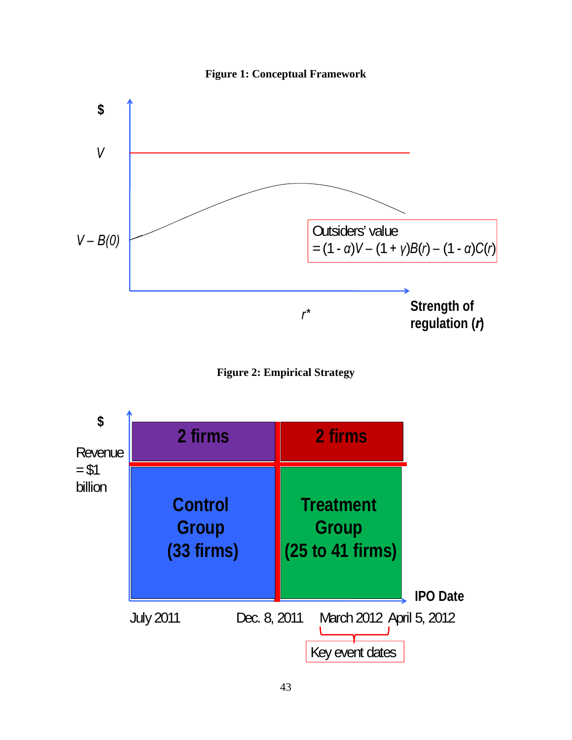





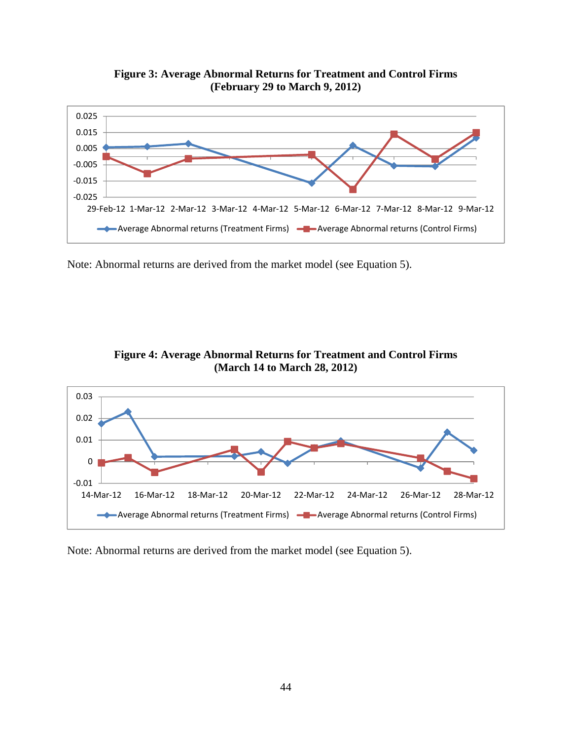

**Figure 3: Average Abnormal Returns for Treatment and Control Firms (February 29 to March 9, 2012)** 

Note: Abnormal returns are derived from the market model (see Equation 5).



**Figure 4: Average Abnormal Returns for Treatment and Control Firms (March 14 to March 28, 2012)** 

Note: Abnormal returns are derived from the market model (see Equation 5).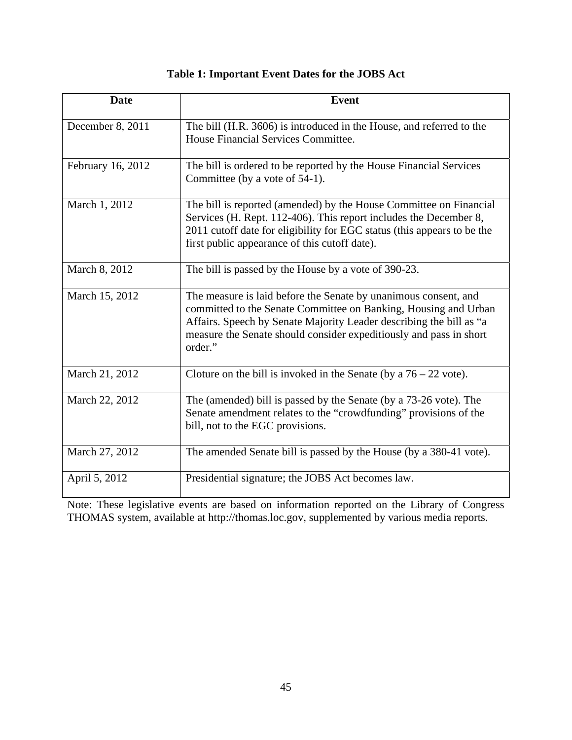| Table 1: Important Event Dates for the JOBS Act |
|-------------------------------------------------|
|-------------------------------------------------|

| <b>Date</b>       | <b>Event</b>                                                                                                                                                                                                                                                                               |
|-------------------|--------------------------------------------------------------------------------------------------------------------------------------------------------------------------------------------------------------------------------------------------------------------------------------------|
| December 8, 2011  | The bill (H.R. 3606) is introduced in the House, and referred to the<br>House Financial Services Committee.                                                                                                                                                                                |
| February 16, 2012 | The bill is ordered to be reported by the House Financial Services<br>Committee (by a vote of 54-1).                                                                                                                                                                                       |
| March 1, 2012     | The bill is reported (amended) by the House Committee on Financial<br>Services (H. Rept. 112-406). This report includes the December 8,<br>2011 cutoff date for eligibility for EGC status (this appears to be the<br>first public appearance of this cutoff date).                        |
| March 8, 2012     | The bill is passed by the House by a vote of 390-23.                                                                                                                                                                                                                                       |
| March 15, 2012    | The measure is laid before the Senate by unanimous consent, and<br>committed to the Senate Committee on Banking, Housing and Urban<br>Affairs. Speech by Senate Majority Leader describing the bill as "a<br>measure the Senate should consider expeditiously and pass in short<br>order." |
| March 21, 2012    | Cloture on the bill is invoked in the Senate (by a $76 - 22$ vote).                                                                                                                                                                                                                        |
| March 22, 2012    | The (amended) bill is passed by the Senate (by a 73-26 vote). The<br>Senate amendment relates to the "crowdfunding" provisions of the<br>bill, not to the EGC provisions.                                                                                                                  |
| March 27, 2012    | The amended Senate bill is passed by the House (by a 380-41 vote).                                                                                                                                                                                                                         |
| April 5, 2012     | Presidential signature; the JOBS Act becomes law.                                                                                                                                                                                                                                          |

Note: These legislative events are based on information reported on the Library of Congress THOMAS system, available at http://thomas.loc.gov, supplemented by various media reports.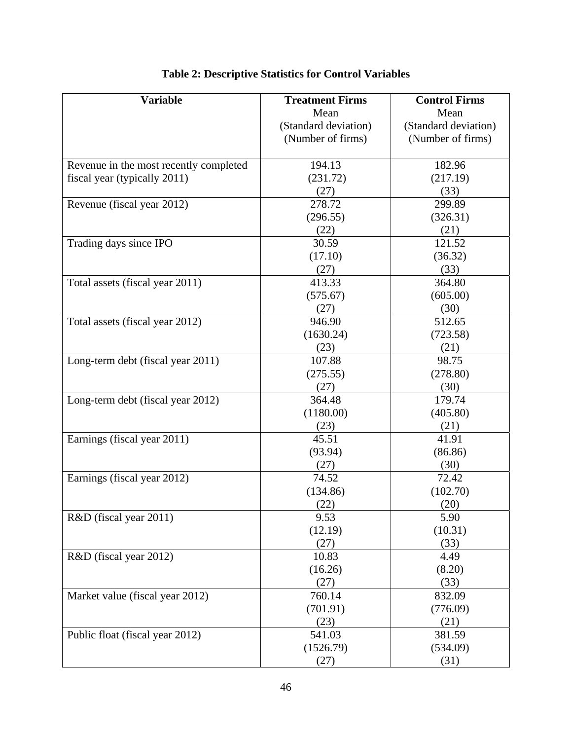| <b>Variable</b>                        | <b>Treatment Firms</b> | <b>Control Firms</b> |
|----------------------------------------|------------------------|----------------------|
|                                        | Mean                   | Mean                 |
|                                        | (Standard deviation)   | (Standard deviation) |
|                                        | (Number of firms)      | (Number of firms)    |
|                                        |                        |                      |
| Revenue in the most recently completed | 194.13                 | 182.96               |
| fiscal year (typically 2011)           | (231.72)               | (217.19)             |
|                                        | (27)                   | (33)                 |
| Revenue (fiscal year 2012)             | 278.72                 | 299.89               |
|                                        | (296.55)               | (326.31)             |
|                                        | (22)                   | (21)                 |
| Trading days since IPO                 | 30.59                  | 121.52               |
|                                        | (17.10)                | (36.32)              |
|                                        | (27)                   | (33)                 |
| Total assets (fiscal year 2011)        | 413.33                 | 364.80               |
|                                        | (575.67)               | (605.00)             |
|                                        | (27)                   | (30)                 |
| Total assets (fiscal year 2012)        | 946.90                 | 512.65               |
|                                        | (1630.24)              | (723.58)             |
|                                        | (23)                   | (21)                 |
| Long-term debt (fiscal year 2011)      | 107.88                 | 98.75                |
|                                        | (275.55)               | (278.80)             |
|                                        | (27)                   | (30)                 |
| Long-term debt (fiscal year 2012)      | 364.48                 | 179.74               |
|                                        | (1180.00)              | (405.80)             |
|                                        | (23)                   | (21)                 |
| Earnings (fiscal year 2011)            | 45.51                  | 41.91                |
|                                        | (93.94)                | (86.86)              |
|                                        | (27)                   | (30)                 |
| Earnings (fiscal year 2012)            | 74.52                  | 72.42                |
|                                        | (134.86)               | (102.70)             |
|                                        | (22)                   | (20)                 |
| R&D (fiscal year 2011)                 | 9.53                   | 5.90                 |
|                                        | (12.19)                | (10.31)              |
|                                        | (27)                   | (33)                 |
| R&D (fiscal year 2012)                 | 10.83                  | 4.49                 |
|                                        | (16.26)                | (8.20)               |
|                                        | (27)                   | (33)                 |
| Market value (fiscal year 2012)        | 760.14                 | 832.09               |
|                                        | (701.91)               | (776.09)             |
|                                        | (23)                   | (21)                 |
| Public float (fiscal year 2012)        | 541.03                 | 381.59               |
|                                        | (1526.79)              | (534.09)             |
|                                        | (27)                   | (31)                 |

# **Table 2: Descriptive Statistics for Control Variables**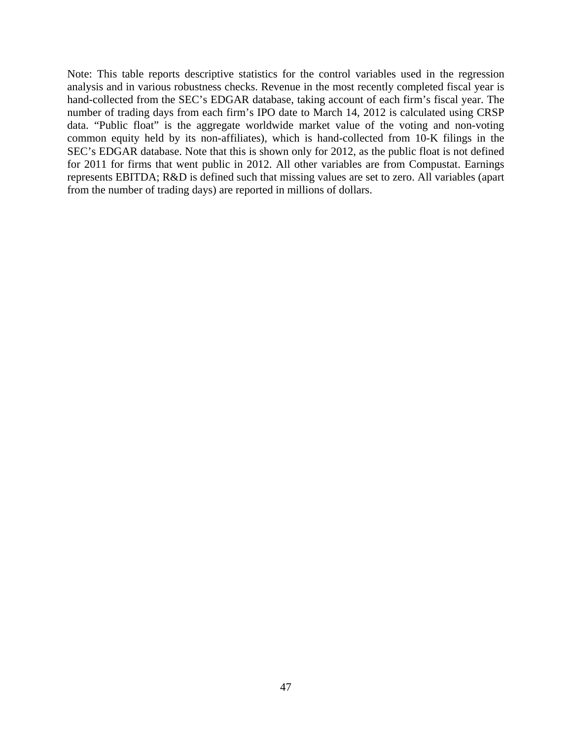Note: This table reports descriptive statistics for the control variables used in the regression analysis and in various robustness checks. Revenue in the most recently completed fiscal year is hand-collected from the SEC's EDGAR database, taking account of each firm's fiscal year. The number of trading days from each firm's IPO date to March 14, 2012 is calculated using CRSP data. "Public float" is the aggregate worldwide market value of the voting and non-voting common equity held by its non-affiliates), which is hand-collected from 10-K filings in the SEC's EDGAR database. Note that this is shown only for 2012, as the public float is not defined for 2011 for firms that went public in 2012. All other variables are from Compustat. Earnings represents EBITDA; R&D is defined such that missing values are set to zero. All variables (apart from the number of trading days) are reported in millions of dollars.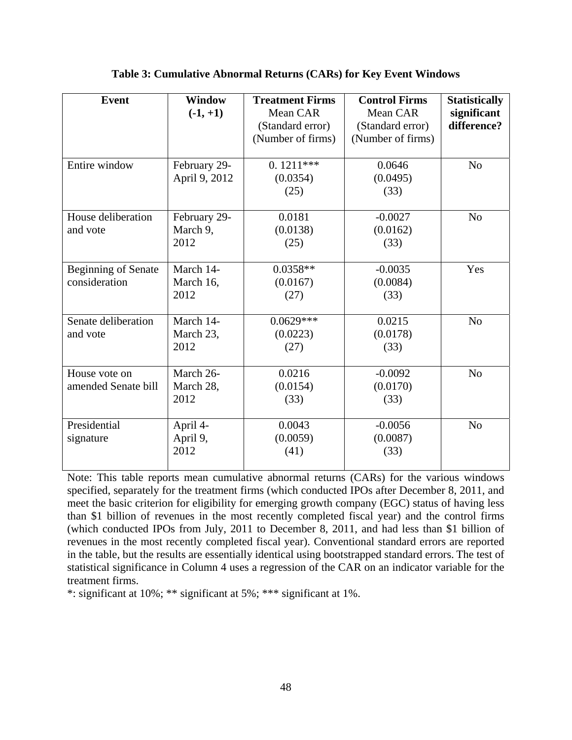| <b>Event</b>                                | Window<br>$(-1, +1)$             | <b>Treatment Firms</b><br>Mean CAR<br>(Standard error)<br>(Number of firms) | <b>Control Firms</b><br>Mean CAR<br>(Standard error)<br>(Number of firms) | <b>Statistically</b><br>significant<br>difference? |
|---------------------------------------------|----------------------------------|-----------------------------------------------------------------------------|---------------------------------------------------------------------------|----------------------------------------------------|
| Entire window                               | February 29-<br>April 9, 2012    | $0.1211***$<br>(0.0354)<br>(25)                                             | 0.0646<br>(0.0495)<br>(33)                                                | N <sub>0</sub>                                     |
| House deliberation<br>and vote              | February 29-<br>March 9,<br>2012 | 0.0181<br>(0.0138)<br>(25)                                                  | $-0.0027$<br>(0.0162)<br>(33)                                             | N <sub>o</sub>                                     |
| <b>Beginning of Senate</b><br>consideration | March 14-<br>March 16,<br>2012   | $0.0358**$<br>(0.0167)<br>(27)                                              | $-0.0035$<br>(0.0084)<br>(33)                                             | Yes                                                |
| Senate deliberation<br>and vote             | March 14-<br>March 23,<br>2012   | $0.0629***$<br>(0.0223)<br>(27)                                             | 0.0215<br>(0.0178)<br>(33)                                                | N <sub>0</sub>                                     |
| House vote on<br>amended Senate bill        | March 26-<br>March 28,<br>2012   | 0.0216<br>(0.0154)<br>(33)                                                  | $-0.0092$<br>(0.0170)<br>(33)                                             | N <sub>0</sub>                                     |
| Presidential<br>signature                   | April 4-<br>April 9,<br>2012     | 0.0043<br>(0.0059)<br>(41)                                                  | $-0.0056$<br>(0.0087)<br>(33)                                             | N <sub>0</sub>                                     |

# **Table 3: Cumulative Abnormal Returns (CARs) for Key Event Windows**

Note: This table reports mean cumulative abnormal returns (CARs) for the various windows specified, separately for the treatment firms (which conducted IPOs after December 8, 2011, and meet the basic criterion for eligibility for emerging growth company (EGC) status of having less than \$1 billion of revenues in the most recently completed fiscal year) and the control firms (which conducted IPOs from July, 2011 to December 8, 2011, and had less than \$1 billion of revenues in the most recently completed fiscal year). Conventional standard errors are reported in the table, but the results are essentially identical using bootstrapped standard errors. The test of statistical significance in Column 4 uses a regression of the CAR on an indicator variable for the treatment firms.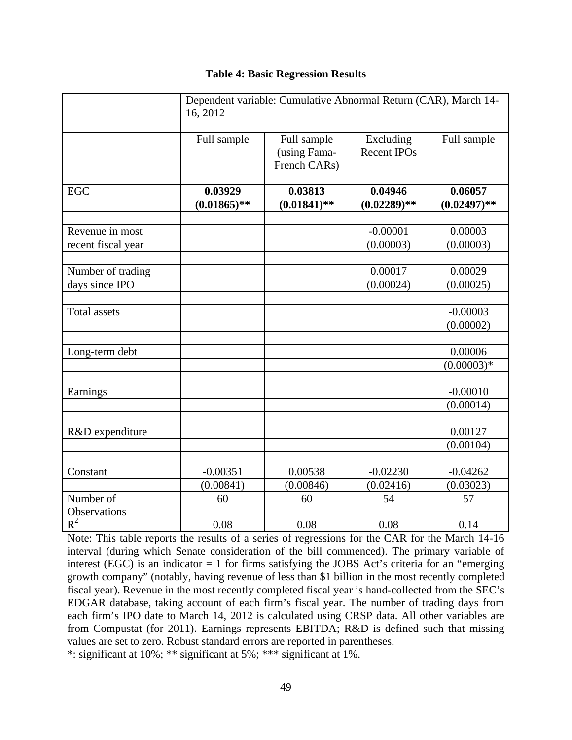# **Table 4: Basic Regression Results**

|                     | Dependent variable: Cumulative Abnormal Return (CAR), March 14-<br>16, 2012 |                                             |                                 |                |  |
|---------------------|-----------------------------------------------------------------------------|---------------------------------------------|---------------------------------|----------------|--|
|                     | Full sample                                                                 | Full sample<br>(using Fama-<br>French CARs) | Excluding<br><b>Recent IPOs</b> | Full sample    |  |
| <b>EGC</b>          | 0.03929                                                                     | 0.03813                                     | 0.04946                         | 0.06057        |  |
|                     | $(0.01865)*$                                                                | $(0.01841)$ **                              | $(0.02289)$ **                  | $(0.02497)$ ** |  |
|                     |                                                                             |                                             |                                 |                |  |
| Revenue in most     |                                                                             |                                             | $-0.00001$                      | 0.00003        |  |
| recent fiscal year  |                                                                             |                                             | (0.00003)                       | (0.00003)      |  |
|                     |                                                                             |                                             |                                 |                |  |
| Number of trading   |                                                                             |                                             | 0.00017                         | 0.00029        |  |
| days since IPO      |                                                                             |                                             | (0.00024)                       | (0.00025)      |  |
|                     |                                                                             |                                             |                                 |                |  |
| <b>Total assets</b> |                                                                             |                                             |                                 | $-0.00003$     |  |
|                     |                                                                             |                                             |                                 | (0.00002)      |  |
|                     |                                                                             |                                             |                                 |                |  |
| Long-term debt      |                                                                             |                                             |                                 | 0.00006        |  |
|                     |                                                                             |                                             |                                 | $(0.00003)*$   |  |
| Earnings            |                                                                             |                                             |                                 | $-0.00010$     |  |
|                     |                                                                             |                                             |                                 | (0.00014)      |  |
|                     |                                                                             |                                             |                                 |                |  |
| R&D expenditure     |                                                                             |                                             |                                 | 0.00127        |  |
|                     |                                                                             |                                             |                                 | (0.00104)      |  |
|                     |                                                                             |                                             |                                 |                |  |
| Constant            | $-0.00351$                                                                  | 0.00538                                     | $-0.02230$                      | $-0.04262$     |  |
|                     | (0.00841)                                                                   | (0.00846)                                   | (0.02416)                       | (0.03023)      |  |
| Number of           | 60                                                                          | 60                                          | 54                              | 57             |  |
| Observations        |                                                                             |                                             |                                 |                |  |
| $R^2$               | 0.08                                                                        | 0.08                                        | 0.08                            | 0.14           |  |

Note: This table reports the results of a series of regressions for the CAR for the March 14-16 interval (during which Senate consideration of the bill commenced). The primary variable of interest (EGC) is an indicator  $= 1$  for firms satisfying the JOBS Act's criteria for an "emerging growth company" (notably, having revenue of less than \$1 billion in the most recently completed fiscal year). Revenue in the most recently completed fiscal year is hand-collected from the SEC's EDGAR database, taking account of each firm's fiscal year. The number of trading days from each firm's IPO date to March 14, 2012 is calculated using CRSP data. All other variables are from Compustat (for 2011). Earnings represents EBITDA; R&D is defined such that missing values are set to zero. Robust standard errors are reported in parentheses.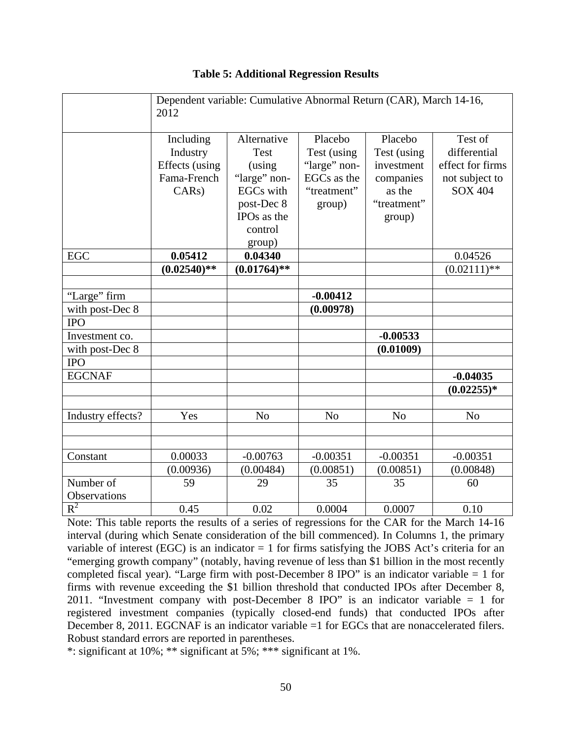|                   | Dependent variable: Cumulative Abnormal Return (CAR), March 14-16,<br>2012 |                         |                |                |                  |
|-------------------|----------------------------------------------------------------------------|-------------------------|----------------|----------------|------------------|
|                   | Including                                                                  | Alternative             | Placebo        | Placebo        | Test of          |
|                   | Industry                                                                   | Test                    | Test (using    | Test (using    | differential     |
|                   | Effects (using                                                             | (using                  | "large" non-   | investment     | effect for firms |
|                   | Fama-French                                                                | "large" non-            | EGCs as the    | companies      | not subject to   |
|                   | CARS                                                                       | <b>EGCs</b> with        | "treatment"    | as the         | <b>SOX 404</b>   |
|                   |                                                                            | post-Dec 8              | group)         | "treatment"    |                  |
|                   |                                                                            | IPO <sub>s</sub> as the |                | group)         |                  |
|                   |                                                                            | control                 |                |                |                  |
|                   |                                                                            | group)                  |                |                |                  |
| <b>EGC</b>        | 0.05412                                                                    | 0.04340                 |                |                | 0.04526          |
|                   | $(0.02540)$ **                                                             | $(0.01764)$ **          |                |                | $(0.02111)$ **   |
|                   |                                                                            |                         |                |                |                  |
| "Large" firm      |                                                                            |                         | $-0.00412$     |                |                  |
| with post-Dec 8   |                                                                            |                         | (0.00978)      |                |                  |
| <b>IPO</b>        |                                                                            |                         |                |                |                  |
| Investment co.    |                                                                            |                         |                | $-0.00533$     |                  |
| with post-Dec 8   |                                                                            |                         |                | (0.01009)      |                  |
| <b>IPO</b>        |                                                                            |                         |                |                |                  |
| <b>EGCNAF</b>     |                                                                            |                         |                |                | $-0.04035$       |
|                   |                                                                            |                         |                |                | $(0.02255)*$     |
|                   |                                                                            |                         |                |                |                  |
| Industry effects? | Yes                                                                        | N <sub>o</sub>          | N <sub>o</sub> | N <sub>o</sub> | N <sub>o</sub>   |
|                   |                                                                            |                         |                |                |                  |
|                   |                                                                            |                         |                |                |                  |
| Constant          | 0.00033                                                                    | $-0.00763$              | $-0.00351$     | $-0.00351$     | $-0.00351$       |
|                   | (0.00936)                                                                  | (0.00484)               | (0.00851)      | (0.00851)      | (0.00848)        |
| Number of         | 59                                                                         | 29                      | 35             | 35             | 60               |
| Observations      |                                                                            |                         |                |                |                  |
| $R^2$             | 0.45                                                                       | 0.02                    | 0.0004         | 0.0007         | 0.10             |

# **Table 5: Additional Regression Results**

Note: This table reports the results of a series of regressions for the CAR for the March 14-16 interval (during which Senate consideration of the bill commenced). In Columns 1, the primary variable of interest (EGC) is an indicator  $= 1$  for firms satisfying the JOBS Act's criteria for an "emerging growth company" (notably, having revenue of less than \$1 billion in the most recently completed fiscal year). "Large firm with post-December 8 IPO" is an indicator variable = 1 for firms with revenue exceeding the \$1 billion threshold that conducted IPOs after December 8, 2011. "Investment company with post-December 8 IPO" is an indicator variable = 1 for registered investment companies (typically closed-end funds) that conducted IPOs after December 8, 2011. EGCNAF is an indicator variable =1 for EGCs that are nonaccelerated filers. Robust standard errors are reported in parentheses.